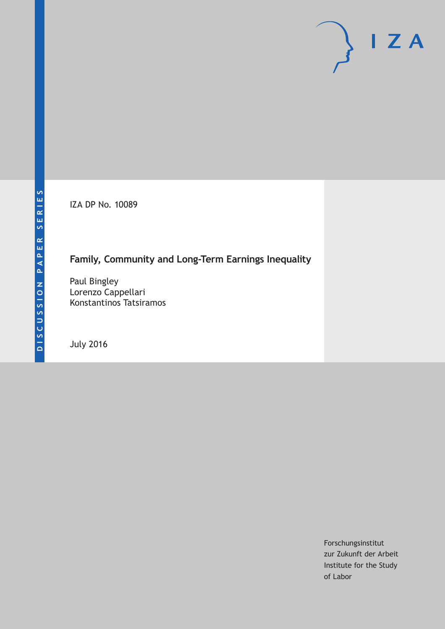IZA DP No. 10089

# **Family, Community and Long-Term Earnings Inequality**

Paul Bingley Lorenzo Cappellari Konstantinos Tatsiramos

July 2016

Forschungsinstitut zur Zukunft der Arbeit Institute for the Study of Labor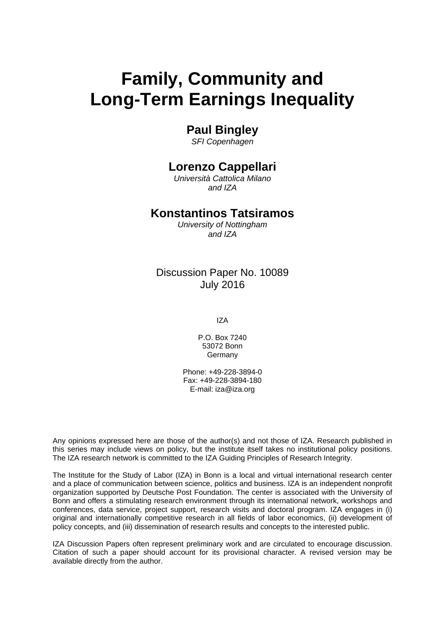# **Family, Community and Long-Term Earnings Inequality**

## **Paul Bingley**

*SFI Copenhagen* 

# **Lorenzo Cappellari**

*Università Cattolica Milano and IZA* 

## **Konstantinos Tatsiramos**

*University of Nottingham and IZA*

## Discussion Paper No. 10089 July 2016

IZA

P.O. Box 7240 53072 Bonn Germany

Phone: +49-228-3894-0 Fax: +49-228-3894-180 E-mail: iza@iza.org

Any opinions expressed here are those of the author(s) and not those of IZA. Research published in this series may include views on policy, but the institute itself takes no institutional policy positions. The IZA research network is committed to the IZA Guiding Principles of Research Integrity.

The Institute for the Study of Labor (IZA) in Bonn is a local and virtual international research center and a place of communication between science, politics and business. IZA is an independent nonprofit organization supported by Deutsche Post Foundation. The center is associated with the University of Bonn and offers a stimulating research environment through its international network, workshops and conferences, data service, project support, research visits and doctoral program. IZA engages in (i) original and internationally competitive research in all fields of labor economics, (ii) development of policy concepts, and (iii) dissemination of research results and concepts to the interested public.

IZA Discussion Papers often represent preliminary work and are circulated to encourage discussion. Citation of such a paper should account for its provisional character. A revised version may be available directly from the author.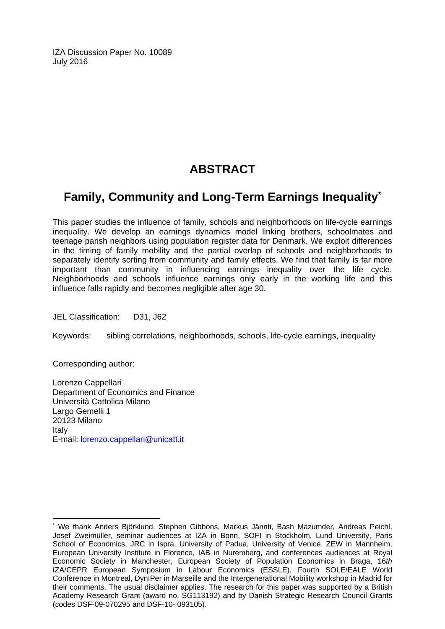IZA Discussion Paper No. 10089 July 2016

# **ABSTRACT**

# **Family, Community and Long-Term Earnings Inequality\***

This paper studies the influence of family, schools and neighborhoods on life-cycle earnings inequality. We develop an earnings dynamics model linking brothers, schoolmates and teenage parish neighbors using population register data for Denmark. We exploit differences in the timing of family mobility and the partial overlap of schools and neighborhoods to separately identify sorting from community and family effects. We find that family is far more important than community in influencing earnings inequality over the life cycle. Neighborhoods and schools influence earnings only early in the working life and this influence falls rapidly and becomes negligible after age 30.

JEL Classification: D31, J62

Keywords: sibling correlations, neighborhoods, schools, life-cycle earnings, inequality

Corresponding author:

 $\overline{a}$ 

Lorenzo Cappellari Department of Economics and Finance Università Cattolica Milano Largo Gemelli 1 20123 Milano Italy E-mail: lorenzo.cappellari@unicatt.it

<sup>\*</sup> We thank Anders Björklund, Stephen Gibbons, Markus Jännti, Bash Mazumder, Andreas Peichl, Josef Zweimüller, seminar audiences at IZA in Bonn, SOFI in Stockholm, Lund University, Paris School of Economics, JRC in Ispra, University of Padua, University of Venice, ZEW in Mannheim, European University Institute in Florence, IAB in Nuremberg, and conferences audiences at Royal Economic Society in Manchester, European Society of Population Economics in Braga, 16*th* IZA/CEPR European Symposium in Labour Economics (ESSLE), Fourth SOLE/EALE World Conference in Montreal, DynIPer in Marseille and the Intergenerational Mobility workshop in Madrid for their comments. The usual disclaimer applies. The research for this paper was supported by a British Academy Research Grant (award no. SG113192) and by Danish Strategic Research Council Grants (codes DSF-09-070295 and DSF-10- 093105).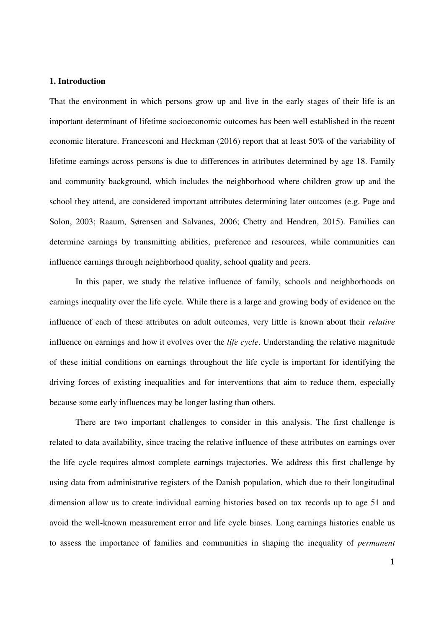#### **1. Introduction**

That the environment in which persons grow up and live in the early stages of their life is an important determinant of lifetime socioeconomic outcomes has been well established in the recent economic literature. Francesconi and Heckman (2016) report that at least 50% of the variability of lifetime earnings across persons is due to differences in attributes determined by age 18. Family and community background, which includes the neighborhood where children grow up and the school they attend, are considered important attributes determining later outcomes (e.g. Page and Solon, 2003; Raaum, Sørensen and Salvanes, 2006; Chetty and Hendren, 2015). Families can determine earnings by transmitting abilities, preference and resources, while communities can influence earnings through neighborhood quality, school quality and peers.

In this paper, we study the relative influence of family, schools and neighborhoods on earnings inequality over the life cycle. While there is a large and growing body of evidence on the influence of each of these attributes on adult outcomes, very little is known about their *relative* influence on earnings and how it evolves over the *life cycle*. Understanding the relative magnitude of these initial conditions on earnings throughout the life cycle is important for identifying the driving forces of existing inequalities and for interventions that aim to reduce them, especially because some early influences may be longer lasting than others.

There are two important challenges to consider in this analysis. The first challenge is related to data availability, since tracing the relative influence of these attributes on earnings over the life cycle requires almost complete earnings trajectories. We address this first challenge by using data from administrative registers of the Danish population, which due to their longitudinal dimension allow us to create individual earning histories based on tax records up to age 51 and avoid the well-known measurement error and life cycle biases. Long earnings histories enable us to assess the importance of families and communities in shaping the inequality of *permanent*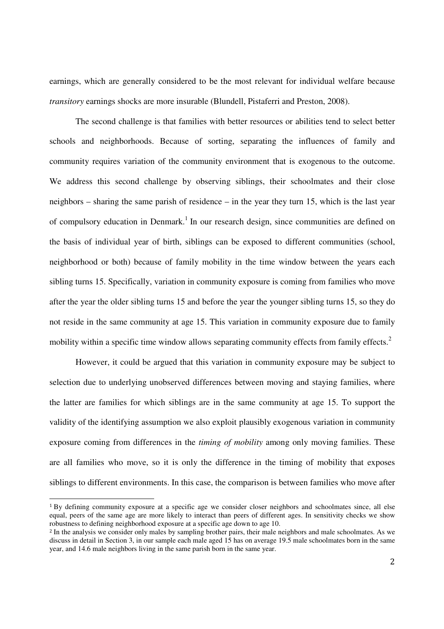earnings, which are generally considered to be the most relevant for individual welfare because *transitory* earnings shocks are more insurable (Blundell, Pistaferri and Preston, 2008).

The second challenge is that families with better resources or abilities tend to select better schools and neighborhoods. Because of sorting, separating the influences of family and community requires variation of the community environment that is exogenous to the outcome. We address this second challenge by observing siblings, their schoolmates and their close neighbors – sharing the same parish of residence – in the year they turn 15, which is the last year of compulsory education in Denmark.<sup>1</sup> In our research design, since communities are defined on the basis of individual year of birth, siblings can be exposed to different communities (school, neighborhood or both) because of family mobility in the time window between the years each sibling turns 15. Specifically, variation in community exposure is coming from families who move after the year the older sibling turns 15 and before the year the younger sibling turns 15, so they do not reside in the same community at age 15. This variation in community exposure due to family mobility within a specific time window allows separating community effects from family effects.<sup>2</sup>

However, it could be argued that this variation in community exposure may be subject to selection due to underlying unobserved differences between moving and staying families, where the latter are families for which siblings are in the same community at age 15. To support the validity of the identifying assumption we also exploit plausibly exogenous variation in community exposure coming from differences in the *timing of mobility* among only moving families. These are all families who move, so it is only the difference in the timing of mobility that exposes siblings to different environments. In this case, the comparison is between families who move after

 $\overline{a}$ 

<sup>1</sup> By defining community exposure at a specific age we consider closer neighbors and schoolmates since, all else equal, peers of the same age are more likely to interact than peers of different ages. In sensitivity checks we show robustness to defining neighborhood exposure at a specific age down to age 10.

<sup>&</sup>lt;sup>2</sup> In the analysis we consider only males by sampling brother pairs, their male neighbors and male schoolmates. As we discuss in detail in Section 3, in our sample each male aged 15 has on average 19.5 male schoolmates born in the same year, and 14.6 male neighbors living in the same parish born in the same year.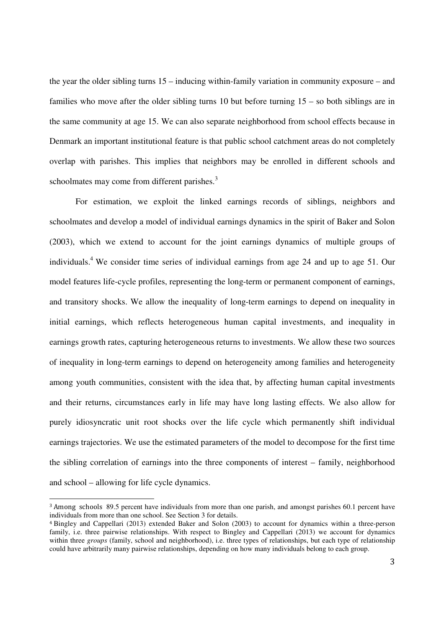the year the older sibling turns 15 – inducing within-family variation in community exposure – and families who move after the older sibling turns 10 but before turning 15 – so both siblings are in the same community at age 15. We can also separate neighborhood from school effects because in Denmark an important institutional feature is that public school catchment areas do not completely overlap with parishes. This implies that neighbors may be enrolled in different schools and schoolmates may come from different parishes.<sup>3</sup>

For estimation, we exploit the linked earnings records of siblings, neighbors and schoolmates and develop a model of individual earnings dynamics in the spirit of Baker and Solon (2003), which we extend to account for the joint earnings dynamics of multiple groups of individuals.<sup>4</sup> We consider time series of individual earnings from age 24 and up to age 51. Our model features life-cycle profiles, representing the long-term or permanent component of earnings, and transitory shocks. We allow the inequality of long-term earnings to depend on inequality in initial earnings, which reflects heterogeneous human capital investments, and inequality in earnings growth rates, capturing heterogeneous returns to investments. We allow these two sources of inequality in long-term earnings to depend on heterogeneity among families and heterogeneity among youth communities, consistent with the idea that, by affecting human capital investments and their returns, circumstances early in life may have long lasting effects. We also allow for purely idiosyncratic unit root shocks over the life cycle which permanently shift individual earnings trajectories. We use the estimated parameters of the model to decompose for the first time the sibling correlation of earnings into the three components of interest – family, neighborhood and school – allowing for life cycle dynamics.

 $\overline{a}$ 

<sup>3</sup> Among schools 89.5 percent have individuals from more than one parish, and amongst parishes 60.1 percent have individuals from more than one school. See Section 3 for details.

<sup>4</sup> Bingley and Cappellari (2013) extended Baker and Solon (2003) to account for dynamics within a three-person family, i.e. three pairwise relationships. With respect to Bingley and Cappellari (2013) we account for dynamics within three *groups* (family, school and neighborhood), i.e. three types of relationships, but each type of relationship could have arbitrarily many pairwise relationships, depending on how many individuals belong to each group.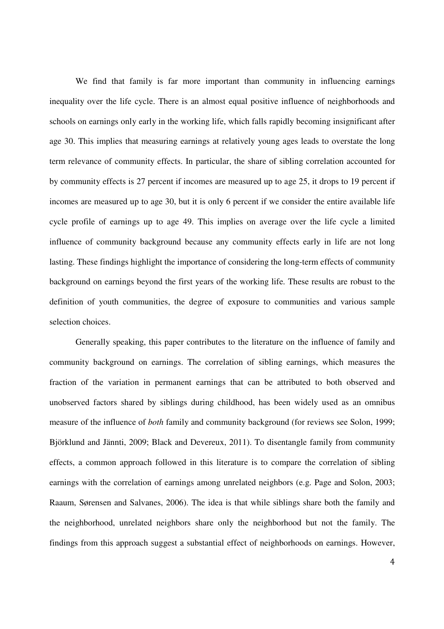We find that family is far more important than community in influencing earnings inequality over the life cycle. There is an almost equal positive influence of neighborhoods and schools on earnings only early in the working life, which falls rapidly becoming insignificant after age 30. This implies that measuring earnings at relatively young ages leads to overstate the long term relevance of community effects. In particular, the share of sibling correlation accounted for by community effects is 27 percent if incomes are measured up to age 25, it drops to 19 percent if incomes are measured up to age 30, but it is only 6 percent if we consider the entire available life cycle profile of earnings up to age 49. This implies on average over the life cycle a limited influence of community background because any community effects early in life are not long lasting. These findings highlight the importance of considering the long-term effects of community background on earnings beyond the first years of the working life. These results are robust to the definition of youth communities, the degree of exposure to communities and various sample selection choices.

Generally speaking, this paper contributes to the literature on the influence of family and community background on earnings. The correlation of sibling earnings, which measures the fraction of the variation in permanent earnings that can be attributed to both observed and unobserved factors shared by siblings during childhood, has been widely used as an omnibus measure of the influence of *both* family and community background (for reviews see Solon, 1999; Björklund and Jännti, 2009; Black and Devereux, 2011). To disentangle family from community effects, a common approach followed in this literature is to compare the correlation of sibling earnings with the correlation of earnings among unrelated neighbors (e.g. Page and Solon, 2003; Raaum, Sørensen and Salvanes, 2006). The idea is that while siblings share both the family and the neighborhood, unrelated neighbors share only the neighborhood but not the family. The findings from this approach suggest a substantial effect of neighborhoods on earnings. However,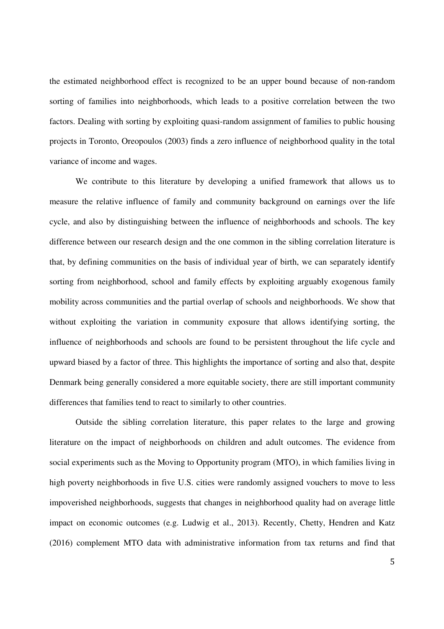the estimated neighborhood effect is recognized to be an upper bound because of non-random sorting of families into neighborhoods, which leads to a positive correlation between the two factors. Dealing with sorting by exploiting quasi-random assignment of families to public housing projects in Toronto, Oreopoulos (2003) finds a zero influence of neighborhood quality in the total variance of income and wages.

We contribute to this literature by developing a unified framework that allows us to measure the relative influence of family and community background on earnings over the life cycle, and also by distinguishing between the influence of neighborhoods and schools. The key difference between our research design and the one common in the sibling correlation literature is that, by defining communities on the basis of individual year of birth, we can separately identify sorting from neighborhood, school and family effects by exploiting arguably exogenous family mobility across communities and the partial overlap of schools and neighborhoods. We show that without exploiting the variation in community exposure that allows identifying sorting, the influence of neighborhoods and schools are found to be persistent throughout the life cycle and upward biased by a factor of three. This highlights the importance of sorting and also that, despite Denmark being generally considered a more equitable society, there are still important community differences that families tend to react to similarly to other countries.

Outside the sibling correlation literature, this paper relates to the large and growing literature on the impact of neighborhoods on children and adult outcomes. The evidence from social experiments such as the Moving to Opportunity program (MTO), in which families living in high poverty neighborhoods in five U.S. cities were randomly assigned vouchers to move to less impoverished neighborhoods, suggests that changes in neighborhood quality had on average little impact on economic outcomes (e.g. Ludwig et al., 2013). Recently, Chetty, Hendren and Katz (2016) complement MTO data with administrative information from tax returns and find that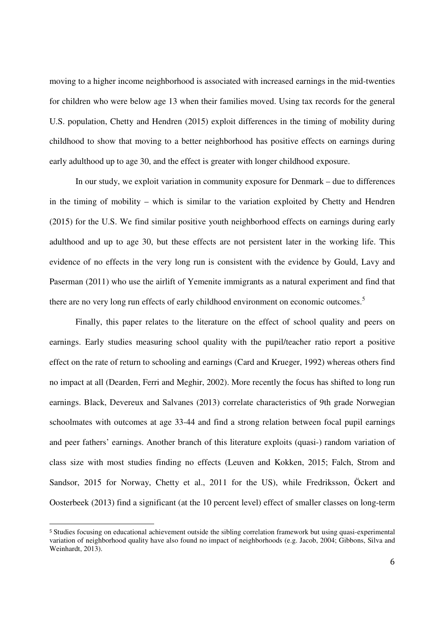moving to a higher income neighborhood is associated with increased earnings in the mid-twenties for children who were below age 13 when their families moved. Using tax records for the general U.S. population, Chetty and Hendren (2015) exploit differences in the timing of mobility during childhood to show that moving to a better neighborhood has positive effects on earnings during early adulthood up to age 30, and the effect is greater with longer childhood exposure.

In our study, we exploit variation in community exposure for Denmark – due to differences in the timing of mobility – which is similar to the variation exploited by Chetty and Hendren (2015) for the U.S. We find similar positive youth neighborhood effects on earnings during early adulthood and up to age 30, but these effects are not persistent later in the working life. This evidence of no effects in the very long run is consistent with the evidence by Gould, Lavy and Paserman (2011) who use the airlift of Yemenite immigrants as a natural experiment and find that there are no very long run effects of early childhood environment on economic outcomes.<sup>5</sup>

Finally, this paper relates to the literature on the effect of school quality and peers on earnings. Early studies measuring school quality with the pupil/teacher ratio report a positive effect on the rate of return to schooling and earnings (Card and Krueger, 1992) whereas others find no impact at all (Dearden, Ferri and Meghir, 2002). More recently the focus has shifted to long run earnings. Black, Devereux and Salvanes (2013) correlate characteristics of 9th grade Norwegian schoolmates with outcomes at age 33-44 and find a strong relation between focal pupil earnings and peer fathers' earnings. Another branch of this literature exploits (quasi-) random variation of class size with most studies finding no effects (Leuven and Kokken, 2015; Falch, Strom and Sandsor, 2015 for Norway, Chetty et al., 2011 for the US), while Fredriksson, Öckert and Oosterbeek (2013) find a significant (at the 10 percent level) effect of smaller classes on long-term

 $\overline{a}$ 

<sup>5</sup> Studies focusing on educational achievement outside the sibling correlation framework but using quasi-experimental variation of neighborhood quality have also found no impact of neighborhoods (e.g. Jacob, 2004; Gibbons, Silva and Weinhardt, 2013).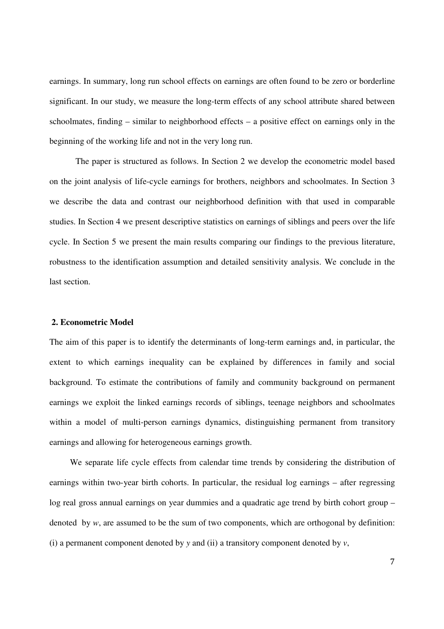earnings. In summary, long run school effects on earnings are often found to be zero or borderline significant. In our study, we measure the long-term effects of any school attribute shared between schoolmates, finding – similar to neighborhood effects – a positive effect on earnings only in the beginning of the working life and not in the very long run.

The paper is structured as follows. In Section 2 we develop the econometric model based on the joint analysis of life-cycle earnings for brothers, neighbors and schoolmates. In Section 3 we describe the data and contrast our neighborhood definition with that used in comparable studies. In Section 4 we present descriptive statistics on earnings of siblings and peers over the life cycle. In Section 5 we present the main results comparing our findings to the previous literature, robustness to the identification assumption and detailed sensitivity analysis. We conclude in the last section.

#### **2. Econometric Model**

The aim of this paper is to identify the determinants of long-term earnings and, in particular, the extent to which earnings inequality can be explained by differences in family and social background. To estimate the contributions of family and community background on permanent earnings we exploit the linked earnings records of siblings, teenage neighbors and schoolmates within a model of multi-person earnings dynamics, distinguishing permanent from transitory earnings and allowing for heterogeneous earnings growth.

We separate life cycle effects from calendar time trends by considering the distribution of earnings within two-year birth cohorts. In particular, the residual log earnings – after regressing log real gross annual earnings on year dummies and a quadratic age trend by birth cohort group – denoted by *w*, are assumed to be the sum of two components, which are orthogonal by definition: (i) a permanent component denoted by *y* and (ii) a transitory component denoted by *v*,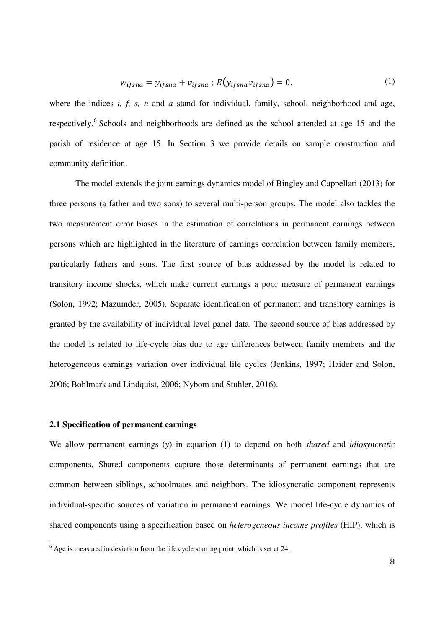$$
w_{ifsna} = y_{ifsna} + v_{ifsna} ; E(y_{ifsna}v_{ifsna}) = 0,
$$
\n(1)

where the indices *i, f, s, n* and *a* stand for individual, family, school, neighborhood and age, respectively.<sup>6</sup> Schools and neighborhoods are defined as the school attended at age 15 and the parish of residence at age 15. In Section 3 we provide details on sample construction and community definition.

The model extends the joint earnings dynamics model of Bingley and Cappellari (2013) for three persons (a father and two sons) to several multi-person groups. The model also tackles the two measurement error biases in the estimation of correlations in permanent earnings between persons which are highlighted in the literature of earnings correlation between family members, particularly fathers and sons. The first source of bias addressed by the model is related to transitory income shocks, which make current earnings a poor measure of permanent earnings (Solon, 1992; Mazumder, 2005). Separate identification of permanent and transitory earnings is granted by the availability of individual level panel data. The second source of bias addressed by the model is related to life-cycle bias due to age differences between family members and the heterogeneous earnings variation over individual life cycles (Jenkins, 1997; Haider and Solon, 2006; Bohlmark and Lindquist, 2006; Nybom and Stuhler, 2016).

#### **2.1 Specification of permanent earnings**

We allow permanent earnings (*y*) in equation (1) to depend on both *shared* and *idiosyncratic* components. Shared components capture those determinants of permanent earnings that are common between siblings, schoolmates and neighbors. The idiosyncratic component represents individual-specific sources of variation in permanent earnings. We model life-cycle dynamics of shared components using a specification based on *heterogeneous income profiles* (HIP), which is

<sup>&</sup>lt;sup>6</sup> Age is measured in deviation from the life cycle starting point, which is set at 24.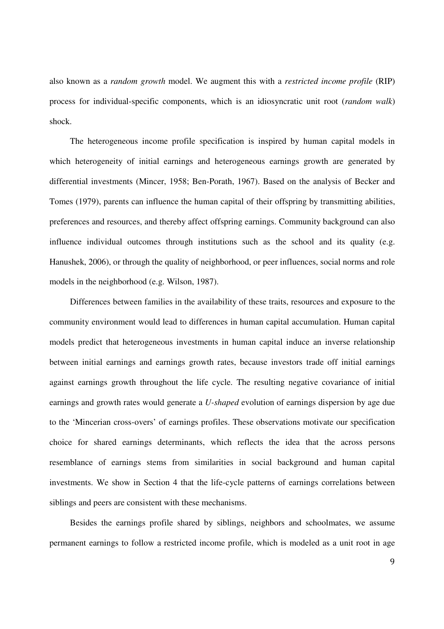also known as a *random growth* model. We augment this with a *restricted income profile* (RIP) process for individual-specific components, which is an idiosyncratic unit root (*random walk*) shock.

The heterogeneous income profile specification is inspired by human capital models in which heterogeneity of initial earnings and heterogeneous earnings growth are generated by differential investments (Mincer, 1958; Ben-Porath, 1967). Based on the analysis of Becker and Tomes (1979), parents can influence the human capital of their offspring by transmitting abilities, preferences and resources, and thereby affect offspring earnings. Community background can also influence individual outcomes through institutions such as the school and its quality (e.g. Hanushek, 2006), or through the quality of neighborhood, or peer influences, social norms and role models in the neighborhood (e.g. Wilson, 1987).

Differences between families in the availability of these traits, resources and exposure to the community environment would lead to differences in human capital accumulation. Human capital models predict that heterogeneous investments in human capital induce an inverse relationship between initial earnings and earnings growth rates, because investors trade off initial earnings against earnings growth throughout the life cycle. The resulting negative covariance of initial earnings and growth rates would generate a *U-shaped* evolution of earnings dispersion by age due to the 'Mincerian cross-overs' of earnings profiles. These observations motivate our specification choice for shared earnings determinants, which reflects the idea that the across persons resemblance of earnings stems from similarities in social background and human capital investments. We show in Section 4 that the life-cycle patterns of earnings correlations between siblings and peers are consistent with these mechanisms.

Besides the earnings profile shared by siblings, neighbors and schoolmates, we assume permanent earnings to follow a restricted income profile, which is modeled as a unit root in age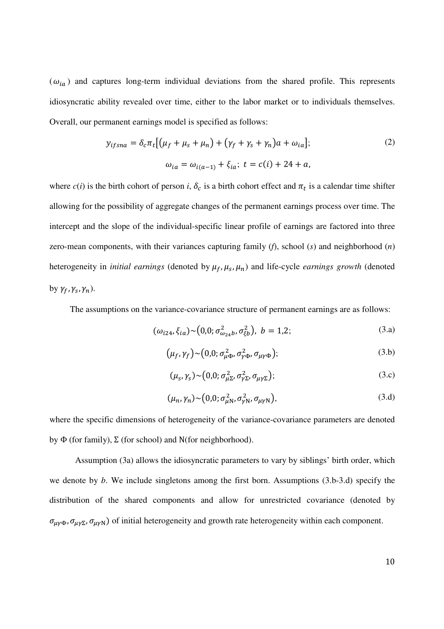$(\omega_{ia})$  and captures long-term individual deviations from the shared profile. This represents idiosyncratic ability revealed over time, either to the labor market or to individuals themselves. Overall, our permanent earnings model is specified as follows:

$$
y_{ifsna} = \delta_c \pi_t [(\mu_f + \mu_s + \mu_n) + (\gamma_f + \gamma_s + \gamma_n)a + \omega_{ia}];
$$
  
\n
$$
\omega_{ia} = \omega_{i(a-1)} + \xi_{ia}; \ t = c(i) + 24 + a,
$$
\n(2)

where  $c(i)$  is the birth cohort of person *i*,  $\delta_c$  is a birth cohort effect and  $\pi_t$  is a calendar time shifter allowing for the possibility of aggregate changes of the permanent earnings process over time. The intercept and the slope of the individual-specific linear profile of earnings are factored into three zero-mean components, with their variances capturing family (*f*), school (*s*) and neighborhood (*n*) heterogeneity in *initial earnings* (denoted by  $\mu_f$ ,  $\mu_s$ ,  $\mu_n$ ) and life-cycle *earnings growth* (denoted by  $\gamma_f$ ,  $\gamma_s$ ,  $\gamma_n$ ).

The assumptions on the variance-covariance structure of permanent earnings are as follows:

$$
(\omega_{i24}, \xi_{ia}) \sim (0,0; \sigma_{\omega_{24}b}^2, \sigma_{\xi b}^2), b = 1,2; \tag{3.1}
$$

$$
\left(\mu_f, \gamma_f\right) \sim \left(0, 0; \sigma_{\mu\Phi}^2, \sigma_{\gamma\Phi}^2, \sigma_{\mu\gamma\Phi}\right);\tag{3.b}
$$

$$
(\mu_s, \gamma_s) \sim (0, 0; \sigma_{\mu\Sigma}^2, \sigma_{\gamma\Sigma}^2, \sigma_{\mu\gamma\Sigma});
$$
\n(3.c)

$$
(\mu_n, \gamma_n) \sim (0.0; \sigma_{\mu N}^2, \sigma_{\gamma N}^2, \sigma_{\mu \gamma N}), \tag{3. d}
$$

where the specific dimensions of heterogeneity of the variance-covariance parameters are denoted by  $\Phi$  (for family),  $\Sigma$  (for school) and N(for neighborhood).

Assumption (3a) allows the idiosyncratic parameters to vary by siblings' birth order, which we denote by *b*. We include singletons among the first born. Assumptions (3.b-3.d) specify the distribution of the shared components and allow for unrestricted covariance (denoted by  $\sigma_{\mu\gamma\Phi}$ ,  $\sigma_{\mu\gamma\Sigma}$ ,  $\sigma_{\mu\gamma N}$ ) of initial heterogeneity and growth rate heterogeneity within each component.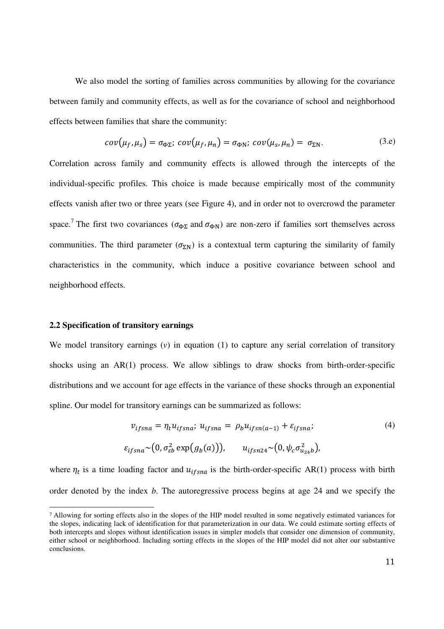We also model the sorting of families across communities by allowing for the covariance between family and community effects, as well as for the covariance of school and neighborhood effects between families that share the community:

$$
cov(\mu_f, \mu_s) = \sigma_{\Phi\Sigma}; \ cov(\mu_f, \mu_n) = \sigma_{\Phi N}; \ cov(\mu_s, \mu_n) = \sigma_{\Sigma N}.
$$
 (3.e)

Correlation across family and community effects is allowed through the intercepts of the individual-specific profiles. This choice is made because empirically most of the community effects vanish after two or three years (see Figure 4), and in order not to overcrowd the parameter space.<sup>7</sup> The first two covariances ( $\sigma_{\Phi\Sigma}$  and  $\sigma_{\Phi N}$ ) are non-zero if families sort themselves across communities. The third parameter  $(\sigma_{\Sigma N})$  is a contextual term capturing the similarity of family characteristics in the community, which induce a positive covariance between school and neighborhood effects.

#### **2.2 Specification of transitory earnings**

<u>.</u>

We model transitory earnings (*v*) in equation (1) to capture any serial correlation of transitory shocks using an AR(1) process. We allow siblings to draw shocks from birth-order-specific distributions and we account for age effects in the variance of these shocks through an exponential spline. Our model for transitory earnings can be summarized as follows:

$$
v_{ifsna} = \eta_t u_{ifsna}; \ u_{ifsna} = \rho_b u_{ifsna-1} + \varepsilon_{ifsna};
$$
  
\n
$$
\varepsilon_{ifsna} \sim (0, \sigma_{\varepsilon b}^2 \exp(g_b(a))), \qquad u_{ifsna} \sim (0, \psi_c \sigma_{u_{24}b}^2),
$$
\n(4)

where  $\eta_t$  is a time loading factor and  $u_{ifsna}$  is the birth-order-specific AR(1) process with birth order denoted by the index *b*. The autoregressive process begins at age 24 and we specify the

<sup>7</sup> Allowing for sorting effects also in the slopes of the HIP model resulted in some negatively estimated variances for the slopes, indicating lack of identification for that parameterization in our data. We could estimate sorting effects of both intercepts and slopes without identification issues in simpler models that consider one dimension of community, either school or neighborhood. Including sorting effects in the slopes of the HIP model did not alter our substantive conclusions.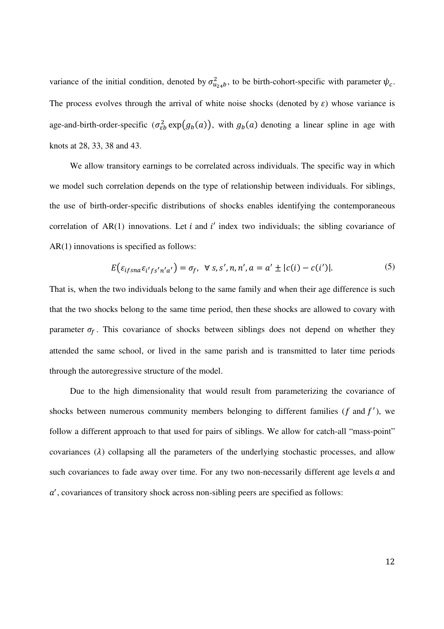variance of the initial condition, denoted by  $\sigma_{u_{24}b}^2$ , to be birth-cohort-specific with parameter  $\psi_c$ . The process evolves through the arrival of white noise shocks (denoted by  $\varepsilon$ ) whose variance is age-and-birth-order-specific  $(\sigma_{\varepsilon b}^2 \exp(g_b(a))$ , with  $g_b(a)$  denoting a linear spline in age with knots at 28, 33, 38 and 43.

We allow transitory earnings to be correlated across individuals. The specific way in which we model such correlation depends on the type of relationship between individuals. For siblings, the use of birth-order-specific distributions of shocks enables identifying the contemporaneous correlation of  $AR(1)$  innovations. Let i and i' index two individuals; the sibling covariance of AR(1) innovations is specified as follows:

$$
E\big(\varepsilon_{ifsna}\varepsilon_{i'fs'n'a'}\big)=\sigma_f, \ \ \forall \ s,s',n,n',a=a'\pm|c(i)-c(i')|.\tag{5}
$$

That is, when the two individuals belong to the same family and when their age difference is such that the two shocks belong to the same time period, then these shocks are allowed to covary with parameter  $\sigma_f$ . This covariance of shocks between siblings does not depend on whether they attended the same school, or lived in the same parish and is transmitted to later time periods through the autoregressive structure of the model.

Due to the high dimensionality that would result from parameterizing the covariance of shocks between numerous community members belonging to different families ( $f$  and  $f'$ ), we follow a different approach to that used for pairs of siblings. We allow for catch-all "mass-point" covariances  $(\lambda)$  collapsing all the parameters of the underlying stochastic processes, and allow such covariances to fade away over time. For any two non-necessarily different age levels  $a$  and a', covariances of transitory shock across non-sibling peers are specified as follows: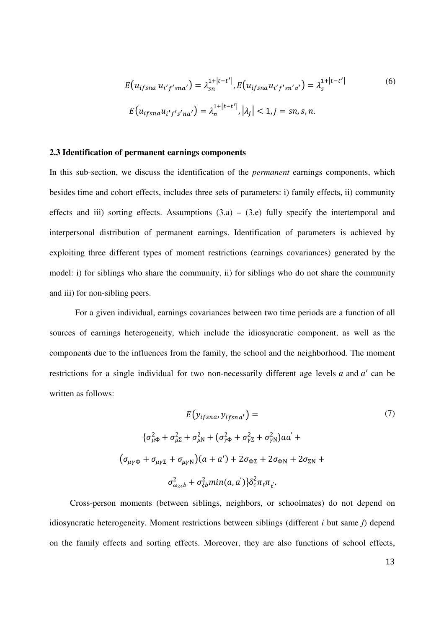$$
E(u_{ifsna} u_{i'f'sna'}) = \lambda_{sn}^{1+|t-t'|}, E(u_{ifsna} u_{i'f'sna'} ) = \lambda_{s}^{1+|t-t'|}
$$
(6)  

$$
E(u_{ifsna} u_{i'f's'na'}) = \lambda_{n}^{1+|t-t'|}, |\lambda_{j}| < 1, j = sn, s, n.
$$

#### **2.3 Identification of permanent earnings components**

In this sub-section, we discuss the identification of the *permanent* earnings components, which besides time and cohort effects, includes three sets of parameters: i) family effects, ii) community effects and iii) sorting effects. Assumptions  $(3.a) - (3.e)$  fully specify the intertemporal and interpersonal distribution of permanent earnings. Identification of parameters is achieved by exploiting three different types of moment restrictions (earnings covariances) generated by the model: i) for siblings who share the community, ii) for siblings who do not share the community and iii) for non-sibling peers.

For a given individual, earnings covariances between two time periods are a function of all sources of earnings heterogeneity, which include the idiosyncratic component, as well as the components due to the influences from the family, the school and the neighborhood. The moment restrictions for a single individual for two non-necessarily different age levels  $a$  and  $a'$  can be written as follows:

$$
E(y_{ifsna}, y_{ifsna'}) =
$$
  
\n
$$
\{\sigma_{\mu\Phi}^2 + \sigma_{\mu\Sigma}^2 + \sigma_{\mu\mathrm{N}}^2 + (\sigma_{\gamma\Phi}^2 + \sigma_{\gamma\Sigma}^2 + \sigma_{\gamma\mathrm{N}}^2)aa' +
$$
  
\n
$$
(\sigma_{\mu\gamma\Phi} + \sigma_{\mu\gamma\Sigma} + \sigma_{\mu\gamma\mathrm{N}})(a + a') + 2\sigma_{\Phi\Sigma} + 2\sigma_{\Phi\mathrm{N}} + 2\sigma_{\Sigma\mathrm{N}} +
$$
  
\n
$$
\sigma_{\omega_{24}b}^2 + \sigma_{\xi b}^2 min(a, a')\}\delta_c^2 \pi_t \pi_t.
$$
\n(7)

Cross-person moments (between siblings, neighbors, or schoolmates) do not depend on idiosyncratic heterogeneity. Moment restrictions between siblings (different *i* but same *f*) depend on the family effects and sorting effects. Moreover, they are also functions of school effects,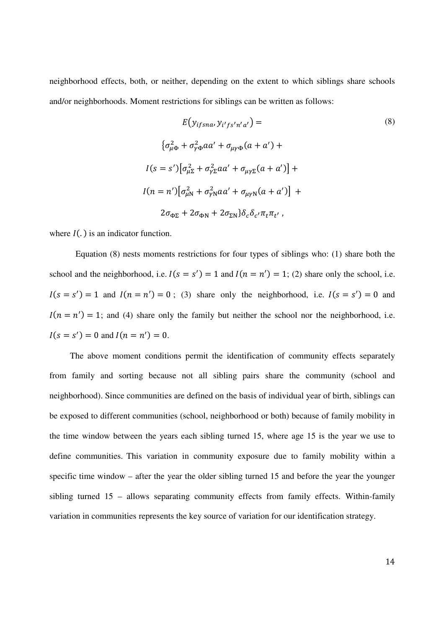neighborhood effects, both, or neither, depending on the extent to which siblings share schools and/or neighborhoods. Moment restrictions for siblings can be written as follows:

$$
E(y_{ifsna}, y_{i'fs'n'a'}) =
$$
\n
$$
\{\sigma_{\mu\Phi}^2 + \sigma_{\gamma\Phi}^2 aa' + \sigma_{\mu\gamma\Phi}(a + a') +
$$
\n
$$
I(s = s')[\sigma_{\mu\Sigma}^2 + \sigma_{\gamma\Sigma}^2 aa' + \sigma_{\mu\gamma\Sigma}(a + a')] +
$$
\n
$$
I(n = n')[\sigma_{\mu N}^2 + \sigma_{\gamma N}^2 aa' + \sigma_{\mu\gamma N}(a + a')] +
$$
\n
$$
2\sigma_{\Phi\Sigma} + 2\sigma_{\Phi N} + 2\sigma_{\Sigma N}\}\delta_c\delta_{c'}\pi_t\pi_{t'},
$$
\n(8)

where  $I(.)$  is an indicator function.

Equation (8) nests moments restrictions for four types of siblings who: (1) share both the school and the neighborhood, i.e.  $I(s = s') = 1$  and  $I(n = n') = 1$ ; (2) share only the school, i.e.  $I(s = s') = 1$  and  $I(n = n') = 0$ ; (3) share only the neighborhood, i.e.  $I(s = s') = 0$  and  $I(n = n') = 1$ ; and (4) share only the family but neither the school nor the neighborhood, i.e.  $I(s = s') = 0$  and  $I(n = n') = 0$ .

The above moment conditions permit the identification of community effects separately from family and sorting because not all sibling pairs share the community (school and neighborhood). Since communities are defined on the basis of individual year of birth, siblings can be exposed to different communities (school, neighborhood or both) because of family mobility in the time window between the years each sibling turned 15, where age 15 is the year we use to define communities. This variation in community exposure due to family mobility within a specific time window – after the year the older sibling turned 15 and before the year the younger sibling turned 15 – allows separating community effects from family effects. Within-family variation in communities represents the key source of variation for our identification strategy.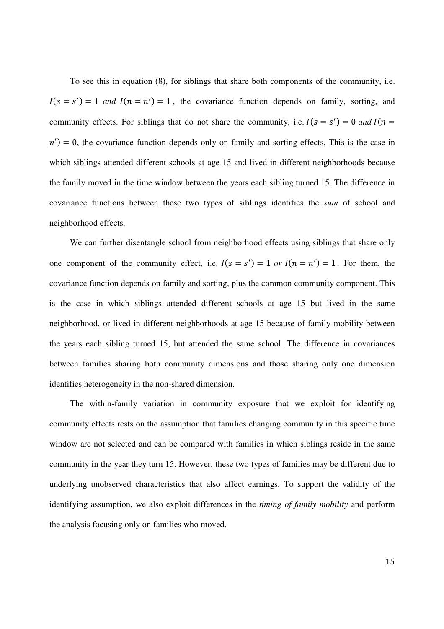To see this in equation (8), for siblings that share both components of the community, i.e.  $I(s = s') = 1$  *and*  $I(n = n') = 1$ , the covariance function depends on family, sorting, and community effects. For siblings that do not share the community, i.e.  $I(s = s') = 0$  and  $I(n = s')$  $n'$ ) = 0, the covariance function depends only on family and sorting effects. This is the case in which siblings attended different schools at age 15 and lived in different neighborhoods because the family moved in the time window between the years each sibling turned 15. The difference in covariance functions between these two types of siblings identifies the *sum* of school and neighborhood effects.

We can further disentangle school from neighborhood effects using siblings that share only one component of the community effect, i.e.  $I(s = s') = 1$  or  $I(n = n') = 1$ . For them, the covariance function depends on family and sorting, plus the common community component. This is the case in which siblings attended different schools at age 15 but lived in the same neighborhood, or lived in different neighborhoods at age 15 because of family mobility between the years each sibling turned 15, but attended the same school. The difference in covariances between families sharing both community dimensions and those sharing only one dimension identifies heterogeneity in the non-shared dimension.

The within-family variation in community exposure that we exploit for identifying community effects rests on the assumption that families changing community in this specific time window are not selected and can be compared with families in which siblings reside in the same community in the year they turn 15. However, these two types of families may be different due to underlying unobserved characteristics that also affect earnings. To support the validity of the identifying assumption, we also exploit differences in the *timing of family mobility* and perform the analysis focusing only on families who moved.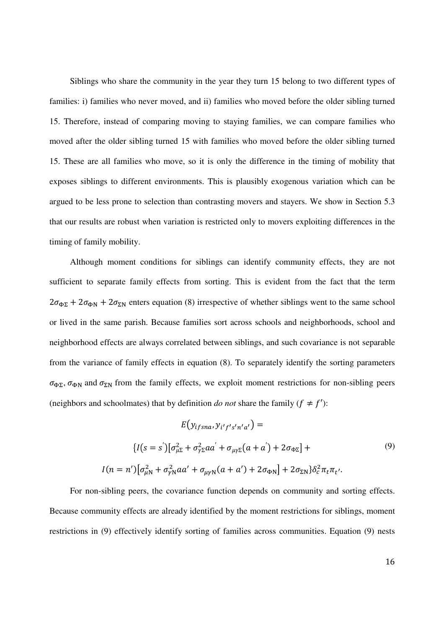Siblings who share the community in the year they turn 15 belong to two different types of families: i) families who never moved, and ii) families who moved before the older sibling turned 15. Therefore, instead of comparing moving to staying families, we can compare families who moved after the older sibling turned 15 with families who moved before the older sibling turned 15. These are all families who move, so it is only the difference in the timing of mobility that exposes siblings to different environments. This is plausibly exogenous variation which can be argued to be less prone to selection than contrasting movers and stayers. We show in Section 5.3 that our results are robust when variation is restricted only to movers exploiting differences in the timing of family mobility.

Although moment conditions for siblings can identify community effects, they are not sufficient to separate family effects from sorting. This is evident from the fact that the term  $2\sigma_{\Phi\Sigma} + 2\sigma_{\Phi N} + 2\sigma_{\Sigma N}$  enters equation (8) irrespective of whether siblings went to the same school or lived in the same parish. Because families sort across schools and neighborhoods, school and neighborhood effects are always correlated between siblings, and such covariance is not separable from the variance of family effects in equation (8). To separately identify the sorting parameters  $\sigma_{\Phi\Sigma}$ ,  $\sigma_{\Phi N}$  and  $\sigma_{\Sigma N}$  from the family effects, we exploit moment restrictions for non-sibling peers (neighbors and schoolmates) that by definition *do not* share the family  $(f \neq f')$ :

$$
E(y_{ifsna}, y_{i'f's'n'a'}) =
$$
  
\n
$$
\{I(s=s')[\sigma_{\mu\Sigma}^2 + \sigma_{\gamma\Sigma}^2 aa' + \sigma_{\mu\gamma\Sigma}(a+a') + 2\sigma_{\Phi\Sigma}\} +
$$
  
\n
$$
I(n=n')[\sigma_{\mu N}^2 + \sigma_{\gamma N}^2 aa' + \sigma_{\mu\gamma N}(a+a') + 2\sigma_{\Phi N}\} + 2\sigma_{\Sigma N}\delta_c^2 \pi_t \pi_{t'}.
$$
\n(9)

For non-sibling peers, the covariance function depends on community and sorting effects. Because community effects are already identified by the moment restrictions for siblings, moment restrictions in (9) effectively identify sorting of families across communities. Equation (9) nests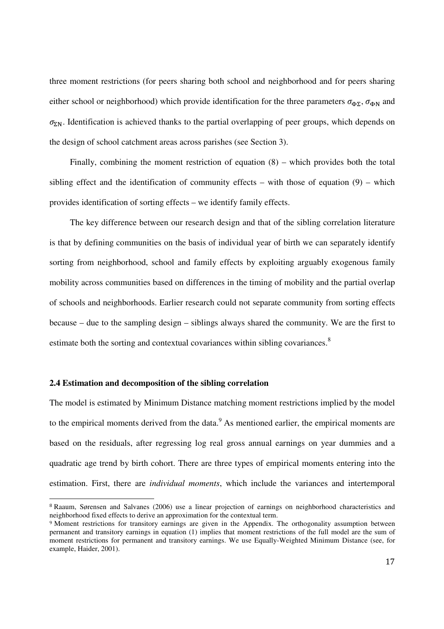three moment restrictions (for peers sharing both school and neighborhood and for peers sharing either school or neighborhood) which provide identification for the three parameters  $\sigma_{\Phi\Sigma}$ ,  $\sigma_{\Phi N}$  and  $\sigma_{\Sigma N}$ . Identification is achieved thanks to the partial overlapping of peer groups, which depends on the design of school catchment areas across parishes (see Section 3).

Finally, combining the moment restriction of equation (8) – which provides both the total sibling effect and the identification of community effects – with those of equation  $(9)$  – which provides identification of sorting effects – we identify family effects.

The key difference between our research design and that of the sibling correlation literature is that by defining communities on the basis of individual year of birth we can separately identify sorting from neighborhood, school and family effects by exploiting arguably exogenous family mobility across communities based on differences in the timing of mobility and the partial overlap of schools and neighborhoods. Earlier research could not separate community from sorting effects because – due to the sampling design – siblings always shared the community. We are the first to estimate both the sorting and contextual covariances within sibling covariances.<sup>8</sup>

#### **2.4 Estimation and decomposition of the sibling correlation**

 $\overline{a}$ 

The model is estimated by Minimum Distance matching moment restrictions implied by the model to the empirical moments derived from the data. $<sup>9</sup>$  As mentioned earlier, the empirical moments are</sup> based on the residuals, after regressing log real gross annual earnings on year dummies and a quadratic age trend by birth cohort. There are three types of empirical moments entering into the estimation. First, there are *individual moments*, which include the variances and intertemporal

<sup>8</sup> Raaum, Sørensen and Salvanes (2006) use a linear projection of earnings on neighborhood characteristics and neighborhood fixed effects to derive an approximation for the contextual term.

<sup>9</sup> Moment restrictions for transitory earnings are given in the Appendix. The orthogonality assumption between permanent and transitory earnings in equation (1) implies that moment restrictions of the full model are the sum of moment restrictions for permanent and transitory earnings. We use Equally-Weighted Minimum Distance (see, for example, Haider, 2001).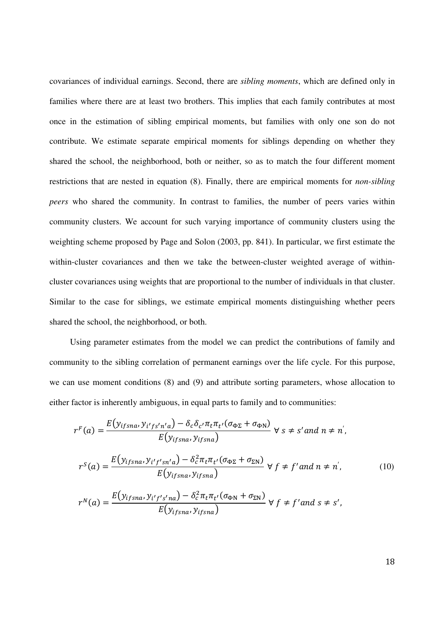covariances of individual earnings. Second, there are *sibling moments*, which are defined only in families where there are at least two brothers. This implies that each family contributes at most once in the estimation of sibling empirical moments, but families with only one son do not contribute. We estimate separate empirical moments for siblings depending on whether they shared the school, the neighborhood, both or neither, so as to match the four different moment restrictions that are nested in equation (8). Finally, there are empirical moments for *non-sibling peers* who shared the community. In contrast to families, the number of peers varies within community clusters. We account for such varying importance of community clusters using the weighting scheme proposed by Page and Solon (2003, pp. 841). In particular, we first estimate the within-cluster covariances and then we take the between-cluster weighted average of withincluster covariances using weights that are proportional to the number of individuals in that cluster. Similar to the case for siblings, we estimate empirical moments distinguishing whether peers shared the school, the neighborhood, or both.

Using parameter estimates from the model we can predict the contributions of family and community to the sibling correlation of permanent earnings over the life cycle. For this purpose, we can use moment conditions (8) and (9) and attribute sorting parameters, whose allocation to either factor is inherently ambiguous, in equal parts to family and to communities:

$$
r^{F}(a) = \frac{E(y_{ifsna}, y_{i'fs'n'a}) - \delta_{c}\delta_{c'}\pi_{t}\pi_{t'}(\sigma_{\Phi\Sigma} + \sigma_{\Phi N})}{E(y_{ifsna}, y_{ifsna})} \forall s \neq s' and n \neq n',
$$
  

$$
r^{S}(a) = \frac{E(y_{ifsna}, y_{i'f'sn'a}) - \delta_{c}^{2}\pi_{t}\pi_{t'}(\sigma_{\Phi\Sigma} + \sigma_{\Sigma N})}{E(y_{ifsna}, y_{ifsna})} \forall f \neq f' and n \neq n',
$$
  

$$
r^{N}(a) = \frac{E(y_{ifsna}, y_{i'f's'na}) - \delta_{c}^{2}\pi_{t}\pi_{t'}(\sigma_{\Phi N} + \sigma_{\Sigma N})}{E(y_{ifsna}, y_{ifsna})} \forall f \neq f' and s \neq s',
$$
 (10)

18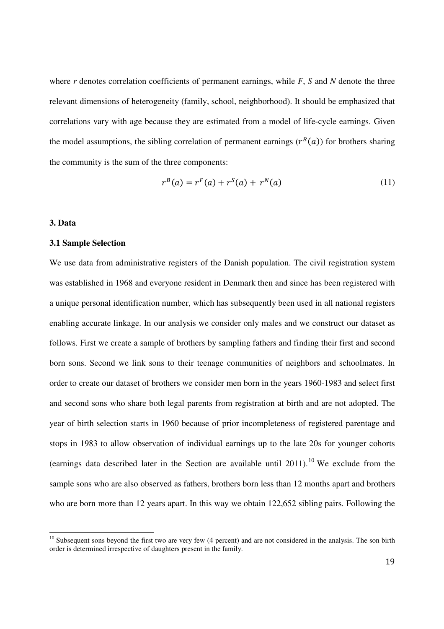where *r* denotes correlation coefficients of permanent earnings, while *F*, *S* and *N* denote the three relevant dimensions of heterogeneity (family, school, neighborhood). It should be emphasized that correlations vary with age because they are estimated from a model of life-cycle earnings. Given the model assumptions, the sibling correlation of permanent earnings  $(r^B(a))$  for brothers sharing the community is the sum of the three components:

$$
r^{B}(a) = r^{F}(a) + r^{S}(a) + r^{N}(a)
$$
\n(11)

#### **3. Data**

 $\overline{\phantom{a}}$ 

#### **3.1 Sample Selection**

We use data from administrative registers of the Danish population. The civil registration system was established in 1968 and everyone resident in Denmark then and since has been registered with a unique personal identification number, which has subsequently been used in all national registers enabling accurate linkage. In our analysis we consider only males and we construct our dataset as follows. First we create a sample of brothers by sampling fathers and finding their first and second born sons. Second we link sons to their teenage communities of neighbors and schoolmates. In order to create our dataset of brothers we consider men born in the years 1960-1983 and select first and second sons who share both legal parents from registration at birth and are not adopted. The year of birth selection starts in 1960 because of prior incompleteness of registered parentage and stops in 1983 to allow observation of individual earnings up to the late 20s for younger cohorts (earnings data described later in the Section are available until  $2011$ ).<sup>10</sup> We exclude from the sample sons who are also observed as fathers, brothers born less than 12 months apart and brothers who are born more than 12 years apart. In this way we obtain 122,652 sibling pairs. Following the

 $10$  Subsequent sons beyond the first two are very few (4 percent) and are not considered in the analysis. The son birth order is determined irrespective of daughters present in the family.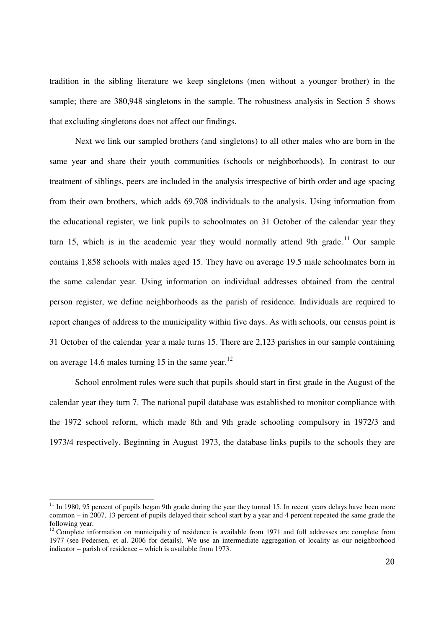tradition in the sibling literature we keep singletons (men without a younger brother) in the sample; there are 380,948 singletons in the sample. The robustness analysis in Section 5 shows that excluding singletons does not affect our findings.

Next we link our sampled brothers (and singletons) to all other males who are born in the same year and share their youth communities (schools or neighborhoods). In contrast to our treatment of siblings, peers are included in the analysis irrespective of birth order and age spacing from their own brothers, which adds 69,708 individuals to the analysis. Using information from the educational register, we link pupils to schoolmates on 31 October of the calendar year they turn 15, which is in the academic year they would normally attend 9th grade.<sup>11</sup> Our sample contains 1,858 schools with males aged 15. They have on average 19.5 male schoolmates born in the same calendar year. Using information on individual addresses obtained from the central person register, we define neighborhoods as the parish of residence. Individuals are required to report changes of address to the municipality within five days. As with schools, our census point is 31 October of the calendar year a male turns 15. There are 2,123 parishes in our sample containing on average 14.6 males turning 15 in the same year.<sup>12</sup>

School enrolment rules were such that pupils should start in first grade in the August of the calendar year they turn 7. The national pupil database was established to monitor compliance with the 1972 school reform, which made 8th and 9th grade schooling compulsory in 1972/3 and 1973/4 respectively. Beginning in August 1973, the database links pupils to the schools they are

 $\overline{\phantom{a}}$ 

 $11$  In 1980, 95 percent of pupils began 9th grade during the year they turned 15. In recent years delays have been more common – in 2007, 13 percent of pupils delayed their school start by a year and 4 percent repeated the same grade the following year.

<sup>&</sup>lt;sup>12</sup> Complete information on municipality of residence is available from 1971 and full addresses are complete from 1977 (see Pedersen, et al. 2006 for details). We use an intermediate aggregation of locality as our neighborhood indicator – parish of residence – which is available from 1973.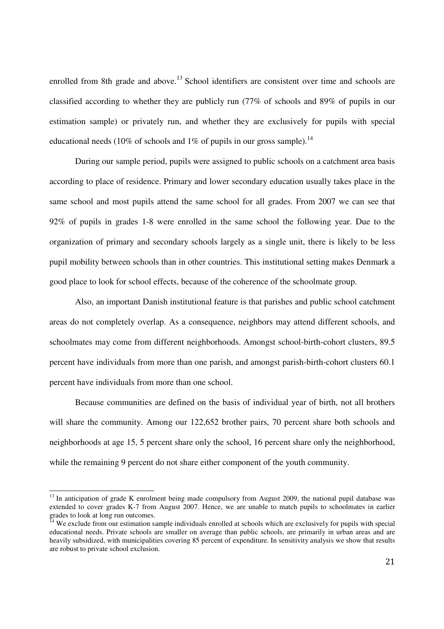enrolled from 8th grade and above.<sup>13</sup> School identifiers are consistent over time and schools are classified according to whether they are publicly run (77% of schools and 89% of pupils in our estimation sample) or privately run, and whether they are exclusively for pupils with special educational needs (10% of schools and 1% of pupils in our gross sample).<sup>14</sup>

During our sample period, pupils were assigned to public schools on a catchment area basis according to place of residence. Primary and lower secondary education usually takes place in the same school and most pupils attend the same school for all grades. From 2007 we can see that 92% of pupils in grades 1-8 were enrolled in the same school the following year. Due to the organization of primary and secondary schools largely as a single unit, there is likely to be less pupil mobility between schools than in other countries. This institutional setting makes Denmark a good place to look for school effects, because of the coherence of the schoolmate group.

Also, an important Danish institutional feature is that parishes and public school catchment areas do not completely overlap. As a consequence, neighbors may attend different schools, and schoolmates may come from different neighborhoods. Amongst school-birth-cohort clusters, 89.5 percent have individuals from more than one parish, and amongst parish-birth-cohort clusters 60.1 percent have individuals from more than one school.

Because communities are defined on the basis of individual year of birth, not all brothers will share the community. Among our 122,652 brother pairs, 70 percent share both schools and neighborhoods at age 15, 5 percent share only the school, 16 percent share only the neighborhood, while the remaining 9 percent do not share either component of the youth community.

 $\overline{\phantom{a}}$ 

<sup>&</sup>lt;sup>13</sup> In anticipation of grade K enrolment being made compulsory from August 2009, the national pupil database was extended to cover grades K-7 from August 2007. Hence, we are unable to match pupils to schoolmates in earlier grades to look at long run outcomes.

 $I<sup>4</sup>$  We exclude from our estimation sample individuals enrolled at schools which are exclusively for pupils with special educational needs. Private schools are smaller on average than public schools, are primarily in urban areas and are heavily subsidized, with municipalities covering 85 percent of expenditure. In sensitivity analysis we show that results are robust to private school exclusion.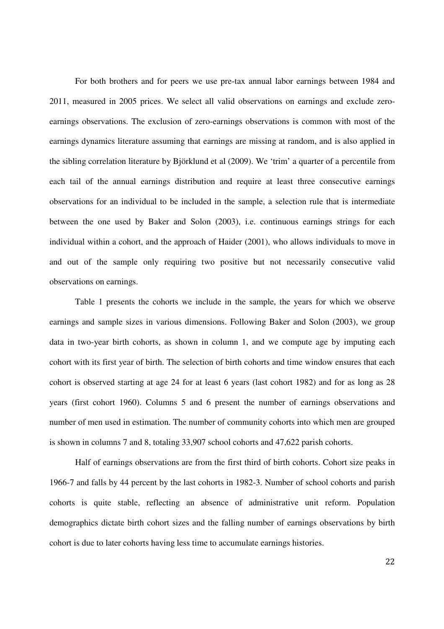For both brothers and for peers we use pre-tax annual labor earnings between 1984 and 2011, measured in 2005 prices. We select all valid observations on earnings and exclude zeroearnings observations. The exclusion of zero-earnings observations is common with most of the earnings dynamics literature assuming that earnings are missing at random, and is also applied in the sibling correlation literature by Björklund et al (2009). We 'trim' a quarter of a percentile from each tail of the annual earnings distribution and require at least three consecutive earnings observations for an individual to be included in the sample, a selection rule that is intermediate between the one used by Baker and Solon (2003), i.e. continuous earnings strings for each individual within a cohort, and the approach of Haider (2001), who allows individuals to move in and out of the sample only requiring two positive but not necessarily consecutive valid observations on earnings.

Table 1 presents the cohorts we include in the sample, the years for which we observe earnings and sample sizes in various dimensions. Following Baker and Solon (2003), we group data in two-year birth cohorts, as shown in column 1, and we compute age by imputing each cohort with its first year of birth. The selection of birth cohorts and time window ensures that each cohort is observed starting at age 24 for at least 6 years (last cohort 1982) and for as long as 28 years (first cohort 1960). Columns 5 and 6 present the number of earnings observations and number of men used in estimation. The number of community cohorts into which men are grouped is shown in columns 7 and 8, totaling 33,907 school cohorts and 47,622 parish cohorts.

Half of earnings observations are from the first third of birth cohorts. Cohort size peaks in 1966-7 and falls by 44 percent by the last cohorts in 1982-3. Number of school cohorts and parish cohorts is quite stable, reflecting an absence of administrative unit reform. Population demographics dictate birth cohort sizes and the falling number of earnings observations by birth cohort is due to later cohorts having less time to accumulate earnings histories.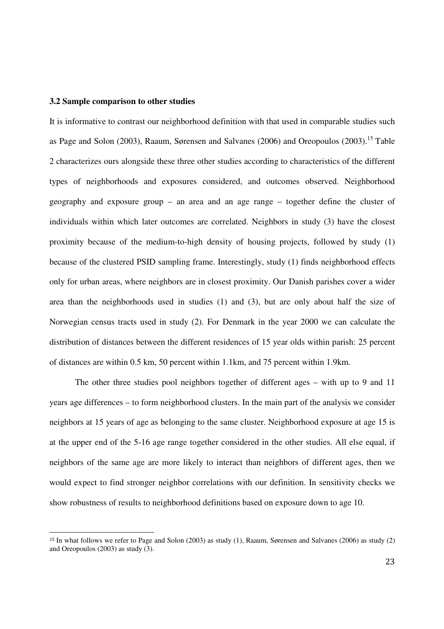#### **3.2 Sample comparison to other studies**

<u>.</u>

It is informative to contrast our neighborhood definition with that used in comparable studies such as Page and Solon (2003), Raaum, Sørensen and Salvanes (2006) and Oreopoulos (2003).<sup>15</sup> Table 2 characterizes ours alongside these three other studies according to characteristics of the different types of neighborhoods and exposures considered, and outcomes observed. Neighborhood geography and exposure group – an area and an age range – together define the cluster of individuals within which later outcomes are correlated. Neighbors in study (3) have the closest proximity because of the medium-to-high density of housing projects, followed by study (1) because of the clustered PSID sampling frame. Interestingly, study (1) finds neighborhood effects only for urban areas, where neighbors are in closest proximity. Our Danish parishes cover a wider area than the neighborhoods used in studies (1) and (3), but are only about half the size of Norwegian census tracts used in study (2). For Denmark in the year 2000 we can calculate the distribution of distances between the different residences of 15 year olds within parish: 25 percent of distances are within 0.5 km, 50 percent within 1.1km, and 75 percent within 1.9km.

The other three studies pool neighbors together of different ages – with up to 9 and 11 years age differences – to form neighborhood clusters. In the main part of the analysis we consider neighbors at 15 years of age as belonging to the same cluster. Neighborhood exposure at age 15 is at the upper end of the 5-16 age range together considered in the other studies. All else equal, if neighbors of the same age are more likely to interact than neighbors of different ages, then we would expect to find stronger neighbor correlations with our definition. In sensitivity checks we show robustness of results to neighborhood definitions based on exposure down to age 10.

<sup>15</sup> In what follows we refer to Page and Solon (2003) as study (1), Raaum, Sørensen and Salvanes (2006) as study (2) and Oreopoulos (2003) as study (3).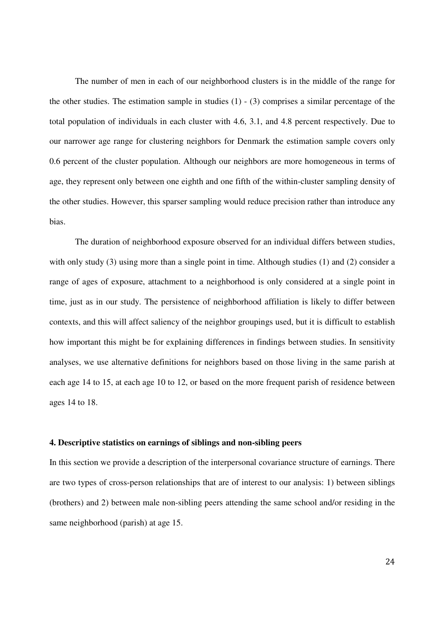The number of men in each of our neighborhood clusters is in the middle of the range for the other studies. The estimation sample in studies  $(1)$  -  $(3)$  comprises a similar percentage of the total population of individuals in each cluster with 4.6, 3.1, and 4.8 percent respectively. Due to our narrower age range for clustering neighbors for Denmark the estimation sample covers only 0.6 percent of the cluster population. Although our neighbors are more homogeneous in terms of age, they represent only between one eighth and one fifth of the within-cluster sampling density of the other studies. However, this sparser sampling would reduce precision rather than introduce any bias.

The duration of neighborhood exposure observed for an individual differs between studies, with only study (3) using more than a single point in time. Although studies (1) and (2) consider a range of ages of exposure, attachment to a neighborhood is only considered at a single point in time, just as in our study. The persistence of neighborhood affiliation is likely to differ between contexts, and this will affect saliency of the neighbor groupings used, but it is difficult to establish how important this might be for explaining differences in findings between studies. In sensitivity analyses, we use alternative definitions for neighbors based on those living in the same parish at each age 14 to 15, at each age 10 to 12, or based on the more frequent parish of residence between ages 14 to 18.

#### **4. Descriptive statistics on earnings of siblings and non-sibling peers**

In this section we provide a description of the interpersonal covariance structure of earnings. There are two types of cross-person relationships that are of interest to our analysis: 1) between siblings (brothers) and 2) between male non-sibling peers attending the same school and/or residing in the same neighborhood (parish) at age 15.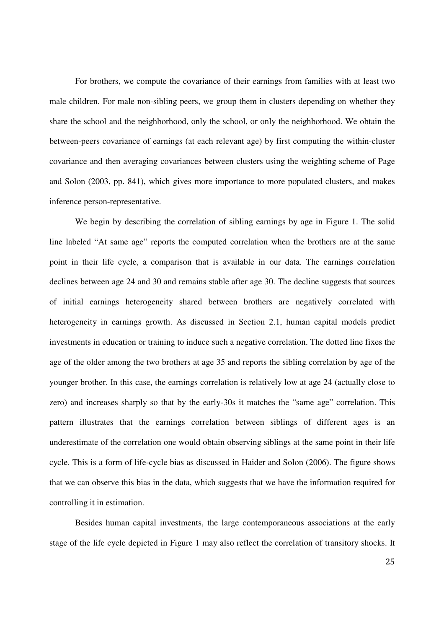For brothers, we compute the covariance of their earnings from families with at least two male children. For male non-sibling peers, we group them in clusters depending on whether they share the school and the neighborhood, only the school, or only the neighborhood. We obtain the between-peers covariance of earnings (at each relevant age) by first computing the within-cluster covariance and then averaging covariances between clusters using the weighting scheme of Page and Solon (2003, pp. 841), which gives more importance to more populated clusters, and makes inference person-representative.

We begin by describing the correlation of sibling earnings by age in Figure 1. The solid line labeled "At same age" reports the computed correlation when the brothers are at the same point in their life cycle, a comparison that is available in our data. The earnings correlation declines between age 24 and 30 and remains stable after age 30. The decline suggests that sources of initial earnings heterogeneity shared between brothers are negatively correlated with heterogeneity in earnings growth. As discussed in Section 2.1, human capital models predict investments in education or training to induce such a negative correlation. The dotted line fixes the age of the older among the two brothers at age 35 and reports the sibling correlation by age of the younger brother. In this case, the earnings correlation is relatively low at age 24 (actually close to zero) and increases sharply so that by the early-30s it matches the "same age" correlation. This pattern illustrates that the earnings correlation between siblings of different ages is an underestimate of the correlation one would obtain observing siblings at the same point in their life cycle. This is a form of life-cycle bias as discussed in Haider and Solon (2006). The figure shows that we can observe this bias in the data, which suggests that we have the information required for controlling it in estimation.

Besides human capital investments, the large contemporaneous associations at the early stage of the life cycle depicted in Figure 1 may also reflect the correlation of transitory shocks. It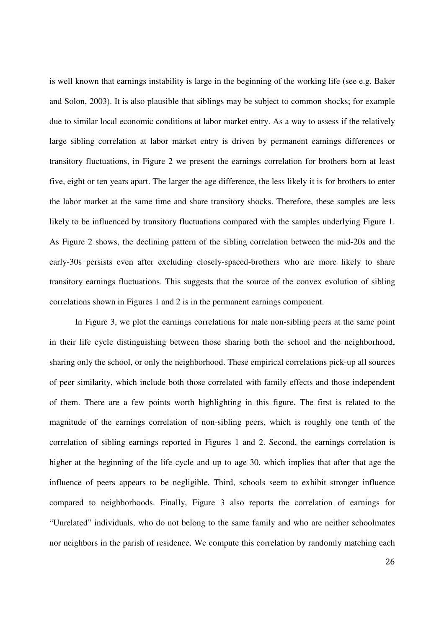is well known that earnings instability is large in the beginning of the working life (see e.g. Baker and Solon, 2003). It is also plausible that siblings may be subject to common shocks; for example due to similar local economic conditions at labor market entry. As a way to assess if the relatively large sibling correlation at labor market entry is driven by permanent earnings differences or transitory fluctuations, in Figure 2 we present the earnings correlation for brothers born at least five, eight or ten years apart. The larger the age difference, the less likely it is for brothers to enter the labor market at the same time and share transitory shocks. Therefore, these samples are less likely to be influenced by transitory fluctuations compared with the samples underlying Figure 1. As Figure 2 shows, the declining pattern of the sibling correlation between the mid-20s and the early-30s persists even after excluding closely-spaced-brothers who are more likely to share transitory earnings fluctuations. This suggests that the source of the convex evolution of sibling correlations shown in Figures 1 and 2 is in the permanent earnings component.

In Figure 3, we plot the earnings correlations for male non-sibling peers at the same point in their life cycle distinguishing between those sharing both the school and the neighborhood, sharing only the school, or only the neighborhood. These empirical correlations pick-up all sources of peer similarity, which include both those correlated with family effects and those independent of them. There are a few points worth highlighting in this figure. The first is related to the magnitude of the earnings correlation of non-sibling peers, which is roughly one tenth of the correlation of sibling earnings reported in Figures 1 and 2. Second, the earnings correlation is higher at the beginning of the life cycle and up to age 30, which implies that after that age the influence of peers appears to be negligible. Third, schools seem to exhibit stronger influence compared to neighborhoods. Finally, Figure 3 also reports the correlation of earnings for "Unrelated" individuals, who do not belong to the same family and who are neither schoolmates nor neighbors in the parish of residence. We compute this correlation by randomly matching each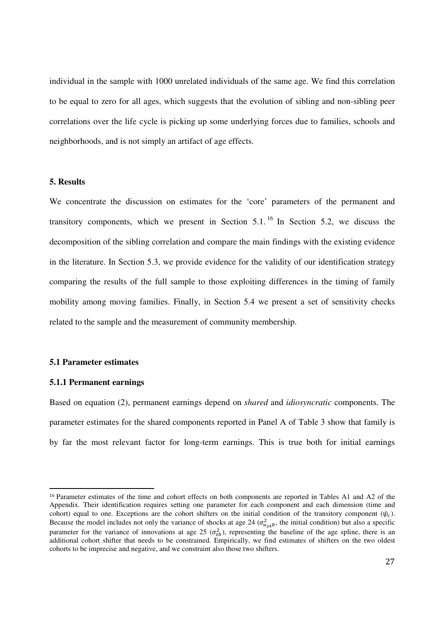individual in the sample with 1000 unrelated individuals of the same age. We find this correlation to be equal to zero for all ages, which suggests that the evolution of sibling and non-sibling peer correlations over the life cycle is picking up some underlying forces due to families, schools and neighborhoods, and is not simply an artifact of age effects.

#### **5. Results**

We concentrate the discussion on estimates for the 'core' parameters of the permanent and transitory components, which we present in Section 5.1. <sup>16</sup> In Section 5.2, we discuss the decomposition of the sibling correlation and compare the main findings with the existing evidence in the literature. In Section 5.3, we provide evidence for the validity of our identification strategy comparing the results of the full sample to those exploiting differences in the timing of family mobility among moving families. Finally, in Section 5.4 we present a set of sensitivity checks related to the sample and the measurement of community membership.

#### **5.1 Parameter estimates**

#### **5.1.1 Permanent earnings**

<u>.</u>

Based on equation (2), permanent earnings depend on *shared* and *idiosyncratic* components. The parameter estimates for the shared components reported in Panel A of Table 3 show that family is by far the most relevant factor for long-term earnings. This is true both for initial earnings

<sup>16</sup> Parameter estimates of the time and cohort effects on both components are reported in Tables A1 and A2 of the Appendix. Their identification requires setting one parameter for each component and each dimension (time and cohort) equal to one. Exceptions are the cohort shifters on the initial condition of the transitory component  $(\psi_c)$ . Because the model includes not only the variance of shocks at age 24 ( $\sigma_{u_{24}b}^2$ , the initial condition) but also a specific parameter for the variance of innovations at age 25  $(\sigma_{\epsilon b}^2)$ , representing the baseline of the age spline, there is an additional cohort shifter that needs to be constrained. Empirically, we find estimates of shifters on the two oldest cohorts to be imprecise and negative, and we constraint also those two shifters.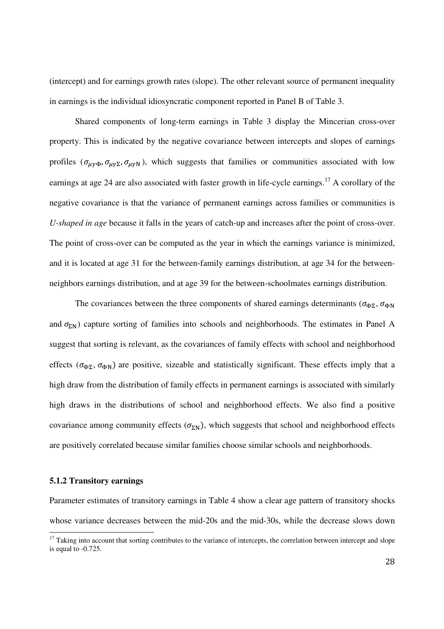(intercept) and for earnings growth rates (slope). The other relevant source of permanent inequality in earnings is the individual idiosyncratic component reported in Panel B of Table 3.

Shared components of long-term earnings in Table 3 display the Mincerian cross-over property. This is indicated by the negative covariance between intercepts and slopes of earnings profiles  $(\sigma_{\mu\nu\Phi}, \sigma_{\mu\nu\Sigma}, \sigma_{\mu\nu\rho})$ , which suggests that families or communities associated with low earnings at age 24 are also associated with faster growth in life-cycle earnings.<sup>17</sup> A corollary of the negative covariance is that the variance of permanent earnings across families or communities is *U-shaped in age* because it falls in the years of catch-up and increases after the point of cross-over. The point of cross-over can be computed as the year in which the earnings variance is minimized, and it is located at age 31 for the between-family earnings distribution, at age 34 for the betweenneighbors earnings distribution, and at age 39 for the between-schoolmates earnings distribution.

The covariances between the three components of shared earnings determinants ( $\sigma_{\Phi\Sigma}$ ,  $\sigma_{\Phi N}$ ) and  $\sigma_{\rm SN}$ ) capture sorting of families into schools and neighborhoods. The estimates in Panel A suggest that sorting is relevant, as the covariances of family effects with school and neighborhood effects ( $\sigma_{\Phi\Sigma}$ ,  $\sigma_{\Phi N}$ ) are positive, sizeable and statistically significant. These effects imply that a high draw from the distribution of family effects in permanent earnings is associated with similarly high draws in the distributions of school and neighborhood effects. We also find a positive covariance among community effects  $(\sigma_{\Sigma N})$ , which suggests that school and neighborhood effects are positively correlated because similar families choose similar schools and neighborhoods.

#### **5.1.2 Transitory earnings**

 $\overline{\phantom{a}}$ 

Parameter estimates of transitory earnings in Table 4 show a clear age pattern of transitory shocks whose variance decreases between the mid-20s and the mid-30s, while the decrease slows down

 $17$  Taking into account that sorting contributes to the variance of intercepts, the correlation between intercept and slope is equal to -0.725.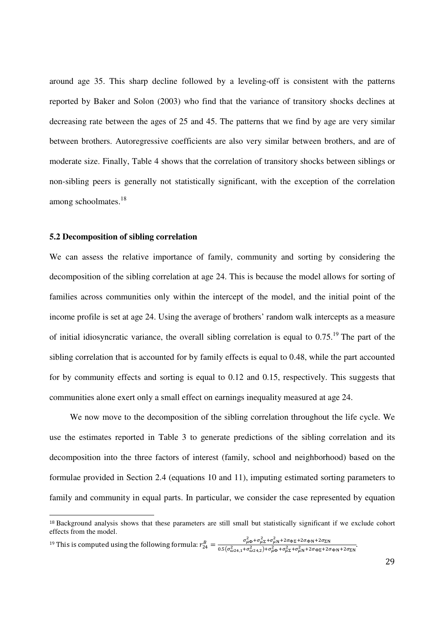around age 35. This sharp decline followed by a leveling-off is consistent with the patterns reported by Baker and Solon (2003) who find that the variance of transitory shocks declines at decreasing rate between the ages of 25 and 45. The patterns that we find by age are very similar between brothers. Autoregressive coefficients are also very similar between brothers, and are of moderate size. Finally, Table 4 shows that the correlation of transitory shocks between siblings or non-sibling peers is generally not statistically significant, with the exception of the correlation among schoolmates.<sup>18</sup>

#### **5.2 Decomposition of sibling correlation**

 $\overline{a}$ 

We can assess the relative importance of family, community and sorting by considering the decomposition of the sibling correlation at age 24. This is because the model allows for sorting of families across communities only within the intercept of the model, and the initial point of the income profile is set at age 24. Using the average of brothers' random walk intercepts as a measure of initial idiosyncratic variance, the overall sibling correlation is equal to 0.75.<sup>19</sup> The part of the sibling correlation that is accounted for by family effects is equal to 0.48, while the part accounted for by community effects and sorting is equal to 0.12 and 0.15, respectively. This suggests that communities alone exert only a small effect on earnings inequality measured at age 24.

We now move to the decomposition of the sibling correlation throughout the life cycle. We use the estimates reported in Table 3 to generate predictions of the sibling correlation and its decomposition into the three factors of interest (family, school and neighborhood) based on the formulae provided in Section 2.4 (equations 10 and 11), imputing estimated sorting parameters to family and community in equal parts. In particular, we consider the case represented by equation

<sup>19</sup> This is computed using the following formula:  $r_{24}^B = \frac{\sigma_{\mu}^2 \Phi + \sigma_{\mu}^2 \Gamma + \sigma_{\mu}^2 \Gamma + \sigma_{\mu}^2 \Gamma + \sigma_{\mu}^2 \Gamma + \sigma_{\mu}^2 \Gamma + \sigma_{\mu}^2 \Gamma + \sigma_{\mu}^2 \Gamma + \sigma_{\mu}^2 \Gamma + \sigma_{\mu}^2 \Gamma + \sigma_{\mu}^2 \Gamma + \sigma_{\mu}^2 \Gamma + \sigma_{\mu}^2 \Gamma + \sigma_{\mu}^2 \Gamma + \sigma_{\mu$  $\frac{\partial_{\mu} \phi}{\partial z_{4,1} + \sigma_{\omega}^2 z_{4,2} + \sigma_{\mu}^2 + \sigma_{\mu}^2 + \sigma_{\mu}^2 + \sigma_{\mu}^2 + \sigma_{\mu}^2 + \sigma_{\mu}^2 + \sigma_{\mu}^2 + \sigma_{\mu}^2 + \sigma_{\mu}^2 + \sigma_{\mu}^2 + \sigma_{\mu}^2 + \sigma_{\mu}^2 + \sigma_{\mu}^2 + \sigma_{\mu}^2 + \sigma_{\mu}^2 + \sigma_{\mu}^2 + \sigma_{\mu}^2 + \sigma_{\mu}^2 + \sigma_{\mu}^2 + \sigma_{\mu}^2 + \sigma_{\mu$ 

<sup>18</sup> Background analysis shows that these parameters are still small but statistically significant if we exclude cohort effects from the model.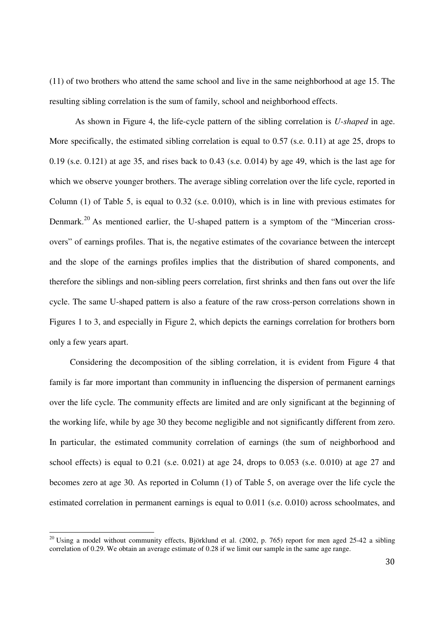(11) of two brothers who attend the same school and live in the same neighborhood at age 15. The resulting sibling correlation is the sum of family, school and neighborhood effects.

As shown in Figure 4, the life-cycle pattern of the sibling correlation is *U-shaped* in age. More specifically, the estimated sibling correlation is equal to 0.57 (s.e. 0.11) at age 25, drops to 0.19 (s.e. 0.121) at age 35, and rises back to 0.43 (s.e. 0.014) by age 49, which is the last age for which we observe younger brothers. The average sibling correlation over the life cycle, reported in Column (1) of Table 5, is equal to 0.32 (s.e. 0.010), which is in line with previous estimates for Denmark.<sup>20</sup> As mentioned earlier, the U-shaped pattern is a symptom of the "Mincerian crossovers" of earnings profiles. That is, the negative estimates of the covariance between the intercept and the slope of the earnings profiles implies that the distribution of shared components, and therefore the siblings and non-sibling peers correlation, first shrinks and then fans out over the life cycle. The same U-shaped pattern is also a feature of the raw cross-person correlations shown in Figures 1 to 3, and especially in Figure 2, which depicts the earnings correlation for brothers born only a few years apart.

Considering the decomposition of the sibling correlation, it is evident from Figure 4 that family is far more important than community in influencing the dispersion of permanent earnings over the life cycle. The community effects are limited and are only significant at the beginning of the working life, while by age 30 they become negligible and not significantly different from zero. In particular, the estimated community correlation of earnings (the sum of neighborhood and school effects) is equal to 0.21 (s.e. 0.021) at age 24, drops to 0.053 (s.e. 0.010) at age 27 and becomes zero at age 30. As reported in Column (1) of Table 5, on average over the life cycle the estimated correlation in permanent earnings is equal to 0.011 (s.e. 0.010) across schoolmates, and

 $20$  Using a model without community effects, Björklund et al. (2002, p. 765) report for men aged 25-42 a sibling correlation of 0.29. We obtain an average estimate of 0.28 if we limit our sample in the same age range.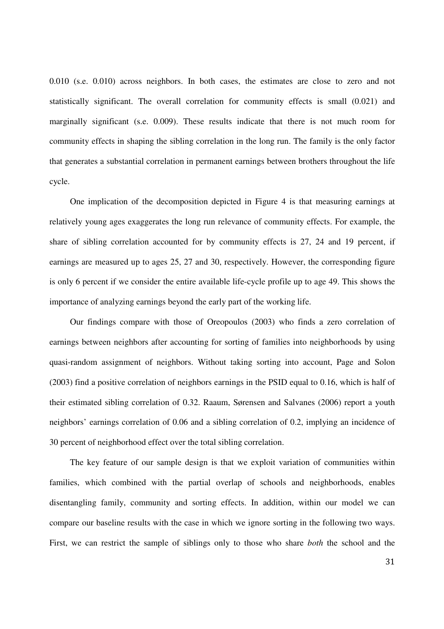0.010 (s.e. 0.010) across neighbors. In both cases, the estimates are close to zero and not statistically significant. The overall correlation for community effects is small (0.021) and marginally significant (s.e. 0.009). These results indicate that there is not much room for community effects in shaping the sibling correlation in the long run. The family is the only factor that generates a substantial correlation in permanent earnings between brothers throughout the life cycle.

One implication of the decomposition depicted in Figure 4 is that measuring earnings at relatively young ages exaggerates the long run relevance of community effects. For example, the share of sibling correlation accounted for by community effects is 27, 24 and 19 percent, if earnings are measured up to ages 25, 27 and 30, respectively. However, the corresponding figure is only 6 percent if we consider the entire available life-cycle profile up to age 49. This shows the importance of analyzing earnings beyond the early part of the working life.

Our findings compare with those of Oreopoulos (2003) who finds a zero correlation of earnings between neighbors after accounting for sorting of families into neighborhoods by using quasi-random assignment of neighbors. Without taking sorting into account, Page and Solon (2003) find a positive correlation of neighbors earnings in the PSID equal to 0.16, which is half of their estimated sibling correlation of 0.32. Raaum, Sørensen and Salvanes (2006) report a youth neighbors' earnings correlation of 0.06 and a sibling correlation of 0.2, implying an incidence of 30 percent of neighborhood effect over the total sibling correlation.

The key feature of our sample design is that we exploit variation of communities within families, which combined with the partial overlap of schools and neighborhoods, enables disentangling family, community and sorting effects. In addition, within our model we can compare our baseline results with the case in which we ignore sorting in the following two ways. First, we can restrict the sample of siblings only to those who share *both* the school and the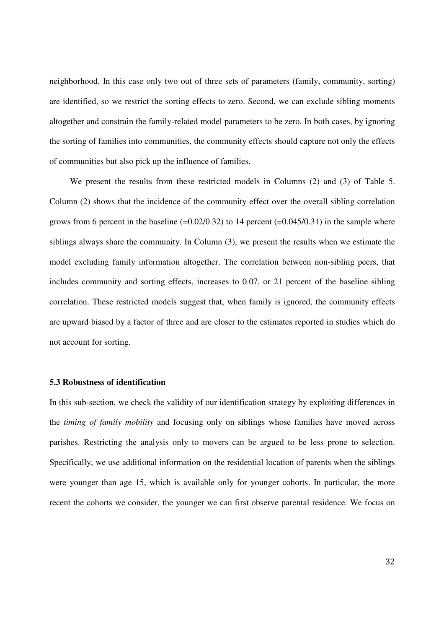neighborhood. In this case only two out of three sets of parameters (family, community, sorting) are identified, so we restrict the sorting effects to zero. Second, we can exclude sibling moments altogether and constrain the family-related model parameters to be zero. In both cases, by ignoring the sorting of families into communities, the community effects should capture not only the effects of communities but also pick up the influence of families.

We present the results from these restricted models in Columns (2) and (3) of Table 5. Column (2) shows that the incidence of the community effect over the overall sibling correlation grows from 6 percent in the baseline  $(=0.02/0.32)$  to 14 percent  $(=0.045/0.31)$  in the sample where siblings always share the community. In Column (3), we present the results when we estimate the model excluding family information altogether. The correlation between non-sibling peers, that includes community and sorting effects, increases to 0.07, or 21 percent of the baseline sibling correlation. These restricted models suggest that, when family is ignored, the community effects are upward biased by a factor of three and are closer to the estimates reported in studies which do not account for sorting.

#### **5.3 Robustness of identification**

In this sub-section, we check the validity of our identification strategy by exploiting differences in the *timing of family mobility* and focusing only on siblings whose families have moved across parishes. Restricting the analysis only to movers can be argued to be less prone to selection. Specifically, we use additional information on the residential location of parents when the siblings were younger than age 15, which is available only for younger cohorts. In particular, the more recent the cohorts we consider, the younger we can first observe parental residence. We focus on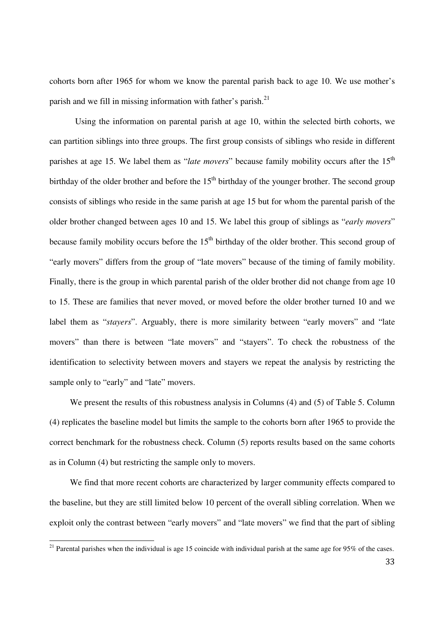cohorts born after 1965 for whom we know the parental parish back to age 10. We use mother's parish and we fill in missing information with father's parish. $^{21}$ 

Using the information on parental parish at age 10, within the selected birth cohorts, we can partition siblings into three groups. The first group consists of siblings who reside in different parishes at age 15. We label them as "*late movers*" because family mobility occurs after the 15<sup>th</sup> birthday of the older brother and before the  $15<sup>th</sup>$  birthday of the younger brother. The second group consists of siblings who reside in the same parish at age 15 but for whom the parental parish of the older brother changed between ages 10 and 15. We label this group of siblings as "*early movers*" because family mobility occurs before the  $15<sup>th</sup>$  birthday of the older brother. This second group of "early movers" differs from the group of "late movers" because of the timing of family mobility. Finally, there is the group in which parental parish of the older brother did not change from age 10 to 15. These are families that never moved, or moved before the older brother turned 10 and we label them as "*stayers*". Arguably, there is more similarity between "early movers" and "late movers" than there is between "late movers" and "stayers". To check the robustness of the identification to selectivity between movers and stayers we repeat the analysis by restricting the sample only to "early" and "late" movers.

We present the results of this robustness analysis in Columns (4) and (5) of Table 5. Column (4) replicates the baseline model but limits the sample to the cohorts born after 1965 to provide the correct benchmark for the robustness check. Column (5) reports results based on the same cohorts as in Column (4) but restricting the sample only to movers.

We find that more recent cohorts are characterized by larger community effects compared to the baseline, but they are still limited below 10 percent of the overall sibling correlation. When we exploit only the contrast between "early movers" and "late movers" we find that the part of sibling

<sup>&</sup>lt;sup>21</sup> Parental parishes when the individual is age 15 coincide with individual parish at the same age for  $95\%$  of the cases.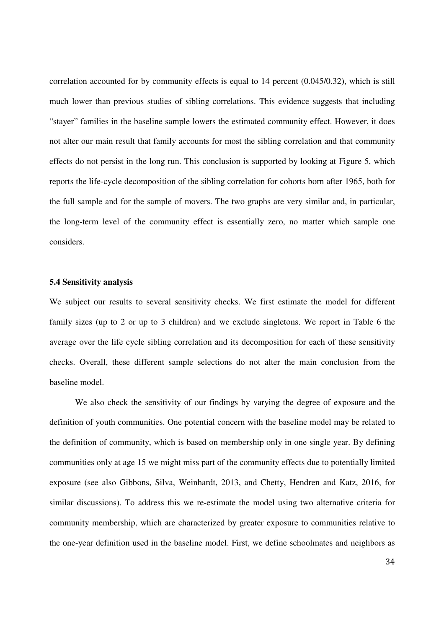correlation accounted for by community effects is equal to 14 percent (0.045/0.32), which is still much lower than previous studies of sibling correlations. This evidence suggests that including "stayer" families in the baseline sample lowers the estimated community effect. However, it does not alter our main result that family accounts for most the sibling correlation and that community effects do not persist in the long run. This conclusion is supported by looking at Figure 5, which reports the life-cycle decomposition of the sibling correlation for cohorts born after 1965, both for the full sample and for the sample of movers. The two graphs are very similar and, in particular, the long-term level of the community effect is essentially zero, no matter which sample one considers.

#### **5.4 Sensitivity analysis**

We subject our results to several sensitivity checks. We first estimate the model for different family sizes (up to 2 or up to 3 children) and we exclude singletons. We report in Table 6 the average over the life cycle sibling correlation and its decomposition for each of these sensitivity checks. Overall, these different sample selections do not alter the main conclusion from the baseline model.

We also check the sensitivity of our findings by varying the degree of exposure and the definition of youth communities. One potential concern with the baseline model may be related to the definition of community, which is based on membership only in one single year. By defining communities only at age 15 we might miss part of the community effects due to potentially limited exposure (see also Gibbons, Silva, Weinhardt, 2013, and Chetty, Hendren and Katz, 2016, for similar discussions). To address this we re-estimate the model using two alternative criteria for community membership, which are characterized by greater exposure to communities relative to the one-year definition used in the baseline model. First, we define schoolmates and neighbors as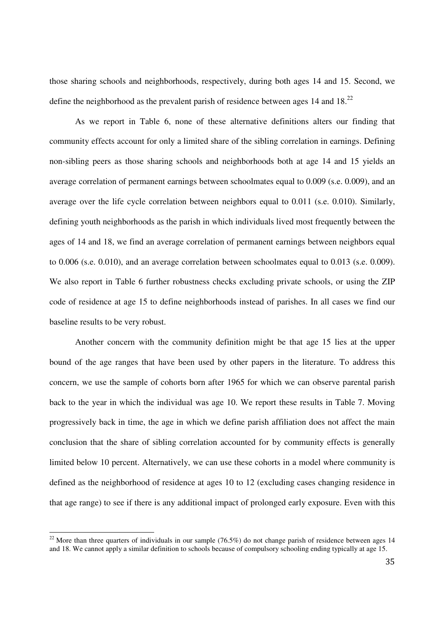those sharing schools and neighborhoods, respectively, during both ages 14 and 15. Second, we define the neighborhood as the prevalent parish of residence between ages 14 and  $18<sup>22</sup>$ 

As we report in Table 6, none of these alternative definitions alters our finding that community effects account for only a limited share of the sibling correlation in earnings. Defining non-sibling peers as those sharing schools and neighborhoods both at age 14 and 15 yields an average correlation of permanent earnings between schoolmates equal to 0.009 (s.e. 0.009), and an average over the life cycle correlation between neighbors equal to 0.011 (s.e. 0.010). Similarly, defining youth neighborhoods as the parish in which individuals lived most frequently between the ages of 14 and 18, we find an average correlation of permanent earnings between neighbors equal to 0.006 (s.e. 0.010), and an average correlation between schoolmates equal to 0.013 (s.e. 0.009). We also report in Table 6 further robustness checks excluding private schools, or using the ZIP code of residence at age 15 to define neighborhoods instead of parishes. In all cases we find our baseline results to be very robust.

Another concern with the community definition might be that age 15 lies at the upper bound of the age ranges that have been used by other papers in the literature. To address this concern, we use the sample of cohorts born after 1965 for which we can observe parental parish back to the year in which the individual was age 10. We report these results in Table 7. Moving progressively back in time, the age in which we define parish affiliation does not affect the main conclusion that the share of sibling correlation accounted for by community effects is generally limited below 10 percent. Alternatively, we can use these cohorts in a model where community is defined as the neighborhood of residence at ages 10 to 12 (excluding cases changing residence in that age range) to see if there is any additional impact of prolonged early exposure. Even with this

<sup>&</sup>lt;sup>22</sup> More than three quarters of individuals in our sample (76.5%) do not change parish of residence between ages 14 and 18. We cannot apply a similar definition to schools because of compulsory schooling ending typically at age 15.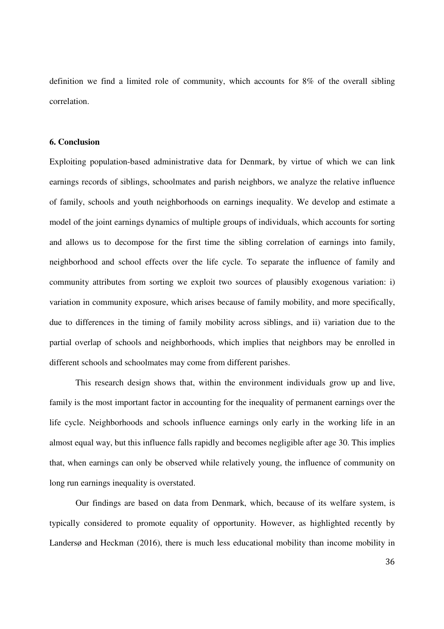definition we find a limited role of community, which accounts for 8% of the overall sibling correlation.

#### **6. Conclusion**

Exploiting population-based administrative data for Denmark, by virtue of which we can link earnings records of siblings, schoolmates and parish neighbors, we analyze the relative influence of family, schools and youth neighborhoods on earnings inequality. We develop and estimate a model of the joint earnings dynamics of multiple groups of individuals, which accounts for sorting and allows us to decompose for the first time the sibling correlation of earnings into family, neighborhood and school effects over the life cycle. To separate the influence of family and community attributes from sorting we exploit two sources of plausibly exogenous variation: i) variation in community exposure, which arises because of family mobility, and more specifically, due to differences in the timing of family mobility across siblings, and ii) variation due to the partial overlap of schools and neighborhoods, which implies that neighbors may be enrolled in different schools and schoolmates may come from different parishes.

This research design shows that, within the environment individuals grow up and live, family is the most important factor in accounting for the inequality of permanent earnings over the life cycle. Neighborhoods and schools influence earnings only early in the working life in an almost equal way, but this influence falls rapidly and becomes negligible after age 30. This implies that, when earnings can only be observed while relatively young, the influence of community on long run earnings inequality is overstated.

Our findings are based on data from Denmark, which, because of its welfare system, is typically considered to promote equality of opportunity. However, as highlighted recently by Landersø and Heckman (2016), there is much less educational mobility than income mobility in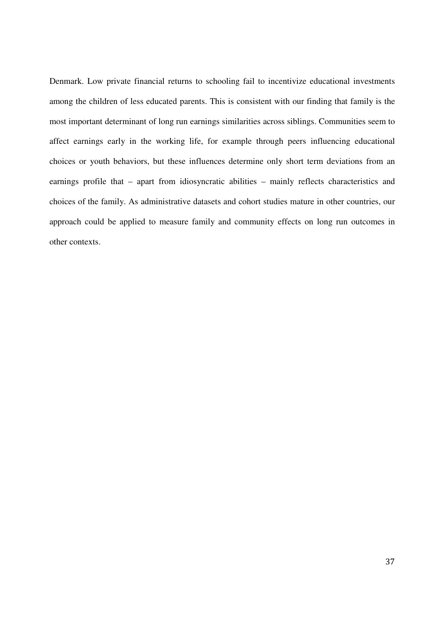Denmark. Low private financial returns to schooling fail to incentivize educational investments among the children of less educated parents. This is consistent with our finding that family is the most important determinant of long run earnings similarities across siblings. Communities seem to affect earnings early in the working life, for example through peers influencing educational choices or youth behaviors, but these influences determine only short term deviations from an earnings profile that – apart from idiosyncratic abilities – mainly reflects characteristics and choices of the family. As administrative datasets and cohort studies mature in other countries, our approach could be applied to measure family and community effects on long run outcomes in other contexts.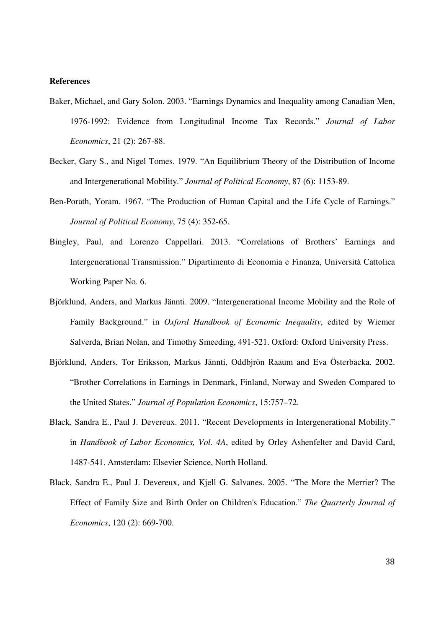#### **References**

- Baker, Michael, and Gary Solon. 2003. "Earnings Dynamics and Inequality among Canadian Men, 1976-1992: Evidence from Longitudinal Income Tax Records." *Journal of Labor Economics*, 21 (2): 267-88.
- Becker, Gary S., and Nigel Tomes. 1979. "An Equilibrium Theory of the Distribution of Income and Intergenerational Mobility." *Journal of Political Economy*, 87 (6): 1153-89.
- Ben-Porath, Yoram. 1967. "The Production of Human Capital and the Life Cycle of Earnings." *Journal of Political Economy*, 75 (4): 352-65.
- Bingley, Paul, and Lorenzo Cappellari. 2013. "Correlations of Brothers' Earnings and Intergenerational Transmission." Dipartimento di Economia e Finanza, Università Cattolica Working Paper No. 6.
- Björklund, Anders, and Markus Jännti. 2009. "Intergenerational Income Mobility and the Role of Family Background." in *Oxford Handbook of Economic Inequality*, edited by Wiemer Salverda, Brian Nolan, and Timothy Smeeding, 491-521. Oxford: Oxford University Press.
- Björklund, Anders, Tor Eriksson, Markus Jännti, Oddbjrön Raaum and Eva Österbacka. 2002. "Brother Correlations in Earnings in Denmark, Finland, Norway and Sweden Compared to the United States." *Journal of Population Economics*, 15:757–72.
- Black, Sandra E., Paul J. Devereux. 2011. "Recent Developments in Intergenerational Mobility." in *Handbook of Labor Economics, Vol. 4A*, edited by Orley Ashenfelter and David Card, 1487-541. Amsterdam: Elsevier Science, North Holland.
- Black, Sandra E., Paul J. Devereux, and Kjell G. Salvanes. 2005. "The More the Merrier? The Effect of Family Size and Birth Order on Children's Education." *The Quarterly Journal of Economics*, 120 (2): 669-700.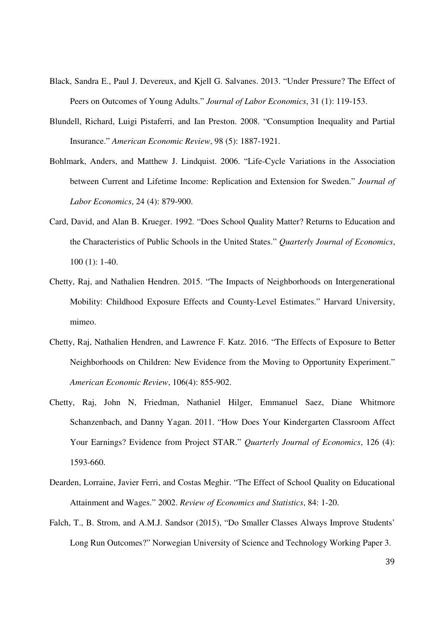- Black, Sandra E., Paul J. Devereux, and Kjell G. Salvanes. 2013. "Under Pressure? The Effect of Peers on Outcomes of Young Adults." *Journal of Labor Economics*, 31 (1): 119-153.
- Blundell, Richard, Luigi Pistaferri, and Ian Preston. 2008. "Consumption Inequality and Partial Insurance." *American Economic Review*, 98 (5): 1887-1921.
- Bohlmark, Anders, and Matthew J. Lindquist. 2006. "Life-Cycle Variations in the Association between Current and Lifetime Income: Replication and Extension for Sweden." *Journal of Labor Economics*, 24 (4): 879-900.
- Card, David, and Alan B. Krueger. 1992. "Does School Quality Matter? Returns to Education and the Characteristics of Public Schools in the United States." *Quarterly Journal of Economics*, 100 (1): 1-40.
- Chetty, Raj, and Nathalien Hendren. 2015. "The Impacts of Neighborhoods on Intergenerational Mobility: Childhood Exposure Effects and County-Level Estimates." Harvard University, mimeo.
- Chetty, Raj, Nathalien Hendren, and Lawrence F. Katz. 2016. "The Effects of Exposure to Better Neighborhoods on Children: New Evidence from the Moving to Opportunity Experiment." *American Economic Review*, 106(4): 855-902.
- Chetty, Raj, John N, Friedman, Nathaniel Hilger, Emmanuel Saez, Diane Whitmore Schanzenbach, and Danny Yagan. 2011. "How Does Your Kindergarten Classroom Affect Your Earnings? Evidence from Project STAR." *Quarterly Journal of Economics*, 126 (4): 1593-660.
- Dearden, Lorraine, Javier Ferri, and Costas Meghir. "The Effect of School Quality on Educational Attainment and Wages." 2002. *Review of Economics and Statistics*, 84: 1-20.
- Falch, T., B. Strom, and A.M.J. Sandsor (2015), "Do Smaller Classes Always Improve Students' Long Run Outcomes?" Norwegian University of Science and Technology Working Paper 3.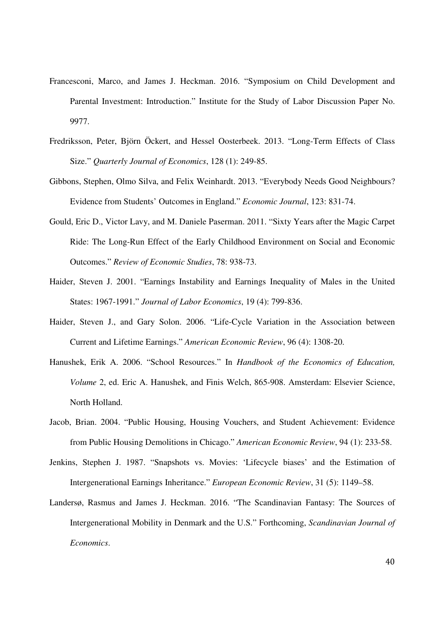- Francesconi, Marco, and James J. Heckman. 2016. "Symposium on Child Development and Parental Investment: Introduction." Institute for the Study of Labor Discussion Paper No. 9977.
- Fredriksson, Peter, Björn Öckert, and Hessel Oosterbeek. 2013. "Long-Term Effects of Class Size." *Quarterly Journal of Economics*, 128 (1): 249-85.
- Gibbons, Stephen, Olmo Silva, and Felix Weinhardt. 2013. "Everybody Needs Good Neighbours? Evidence from Students' Outcomes in England." *Economic Journal*, 123: 831-74.
- Gould, Eric D., Victor Lavy, and M. Daniele Paserman. 2011. "Sixty Years after the Magic Carpet Ride: The Long-Run Effect of the Early Childhood Environment on Social and Economic Outcomes." *Review of Economic Studies*, 78: 938-73.
- Haider, Steven J. 2001. "Earnings Instability and Earnings Inequality of Males in the United States: 1967-1991." *Journal of Labor Economics*, 19 (4): 799-836.
- Haider, Steven J., and Gary Solon. 2006. "Life-Cycle Variation in the Association between Current and Lifetime Earnings." *American Economic Review*, 96 (4): 1308-20.
- Hanushek, Erik A. 2006. "School Resources." In *Handbook of the Economics of Education, Volume* 2, ed. Eric A. Hanushek, and Finis Welch, 865-908. Amsterdam: Elsevier Science, North Holland.
- Jacob, Brian. 2004. "Public Housing, Housing Vouchers, and Student Achievement: Evidence from Public Housing Demolitions in Chicago." *American Economic Review*, 94 (1): 233-58.
- Jenkins, Stephen J. 1987. "Snapshots vs. Movies: 'Lifecycle biases' and the Estimation of Intergenerational Earnings Inheritance." *European Economic Review*, 31 (5): 1149–58.
- Landersø, Rasmus and James J. Heckman. 2016. "The Scandinavian Fantasy: The Sources of Intergenerational Mobility in Denmark and the U.S." Forthcoming, *Scandinavian Journal of Economics*.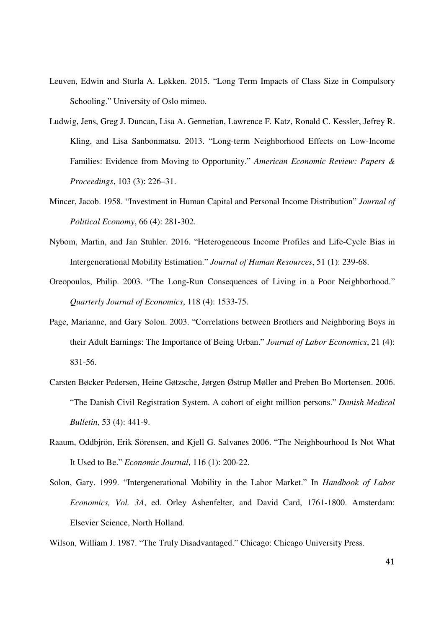- Leuven, Edwin and Sturla A. Løkken. 2015. "Long Term Impacts of Class Size in Compulsory Schooling." University of Oslo mimeo.
- Ludwig, Jens, Greg J. Duncan, Lisa A. Gennetian, Lawrence F. Katz, Ronald C. Kessler, Jefrey R. Kling, and Lisa Sanbonmatsu. 2013. "Long-term Neighborhood Effects on Low-Income Families: Evidence from Moving to Opportunity." *American Economic Review: Papers & Proceedings*, 103 (3): 226–31.
- Mincer, Jacob. 1958. "Investment in Human Capital and Personal Income Distribution" *Journal of Political Economy*, 66 (4): 281-302.
- Nybom, Martin, and Jan Stuhler. 2016. "Heterogeneous Income Profiles and Life-Cycle Bias in Intergenerational Mobility Estimation." *Journal of Human Resources*, 51 (1): 239-68.
- Oreopoulos, Philip. 2003. "The Long-Run Consequences of Living in a Poor Neighborhood." *Quarterly Journal of Economics*, 118 (4): 1533-75.
- Page, Marianne, and Gary Solon. 2003. "Correlations between Brothers and Neighboring Boys in their Adult Earnings: The Importance of Being Urban." *Journal of Labor Economics*, 21 (4): 831-56.
- Carsten Bøcker Pedersen, Heine Gøtzsche, Jørgen Østrup Møller and Preben Bo Mortensen. 2006. "The Danish Civil Registration System. A cohort of eight million persons." *Danish Medical Bulletin*, 53 (4): 441-9.
- Raaum, Oddbjrön, Erik Sörensen, and Kjell G. Salvanes 2006. "The Neighbourhood Is Not What It Used to Be." *Economic Journal*, 116 (1): 200-22.
- Solon, Gary. 1999. "Intergenerational Mobility in the Labor Market." In *Handbook of Labor Economics, Vol. 3A*, ed. Orley Ashenfelter, and David Card, 1761-1800. Amsterdam: Elsevier Science, North Holland.

Wilson, William J. 1987. "The Truly Disadvantaged." Chicago: Chicago University Press.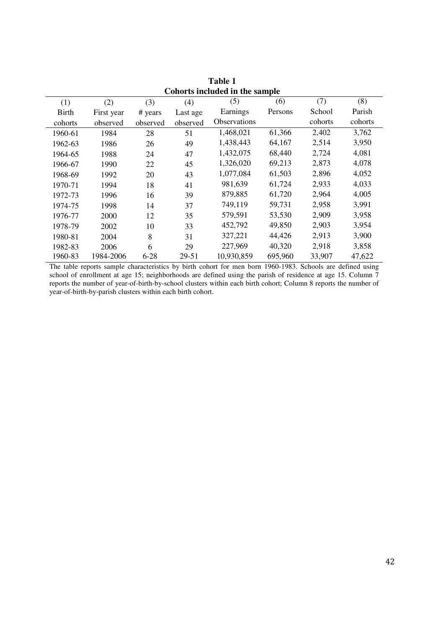| <b>Table 1</b>                 |            |          |          |                     |         |         |         |
|--------------------------------|------------|----------|----------|---------------------|---------|---------|---------|
| Cohorts included in the sample |            |          |          |                     |         |         |         |
| (1)                            | (2)        | (3)      | (4)      | (5)                 | (6)     | (7)     | (8)     |
| <b>Birth</b>                   | First year | # years  | Last age | Earnings            | Persons | School  | Parish  |
| cohorts                        | observed   | observed | observed | <b>Observations</b> |         | cohorts | cohorts |
| 1960-61                        | 1984       | 28       | 51       | 1,468,021           | 61,366  | 2,402   | 3,762   |
| 1962-63                        | 1986       | 26       | 49       | 1,438,443           | 64,167  | 2,514   | 3,950   |
| 1964-65                        | 1988       | 24       | 47       | 1,432,075           | 68,440  | 2,724   | 4,081   |
| 1966-67                        | 1990       | 22       | 45       | 1,326,020           | 69,213  | 2,873   | 4,078   |
| 1968-69                        | 1992       | 20       | 43       | 1,077,084           | 61,503  | 2,896   | 4,052   |
| 1970-71                        | 1994       | 18       | 41       | 981,639             | 61,724  | 2,933   | 4,033   |
| 1972-73                        | 1996       | 16       | 39       | 879,885             | 61,720  | 2,964   | 4,005   |
| 1974-75                        | 1998       | 14       | 37       | 749,119             | 59,731  | 2,958   | 3,991   |
| 1976-77                        | 2000       | 12       | 35       | 579,591             | 53,530  | 2,909   | 3,958   |
| 1978-79                        | 2002       | 10       | 33       | 452,792             | 49,850  | 2,903   | 3,954   |
| 1980-81                        | 2004       | 8        | 31       | 327,221             | 44,426  | 2,913   | 3,900   |
| 1982-83                        | 2006       | 6        | 29       | 227,969             | 40,320  | 2,918   | 3,858   |
| 1960-83                        | 1984-2006  | $6 - 28$ | 29-51    | 10,930,859          | 695,960 | 33,907  | 47,622  |

The table reports sample characteristics by birth cohort for men born 1960-1983. Schools are defined using school of enrollment at age 15; neighborhoods are defined using the parish of residence at age 15. Column  $\frac{1}{7}$ reports the number of year-of-birth-by-school clusters within each birth cohort; Column 8 reports the number of year-of-birth-by-parish clusters within each birth cohort.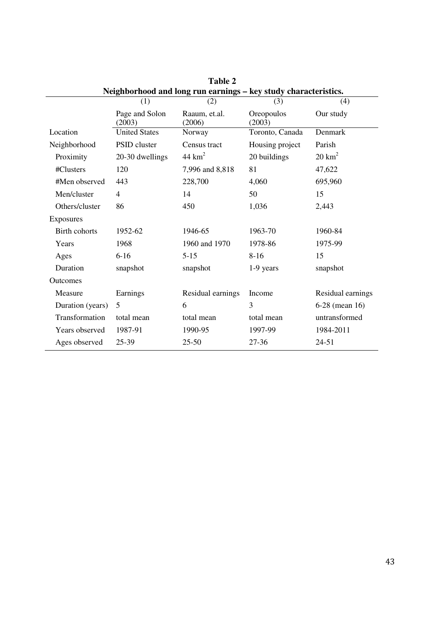|                      |                                                                 | 1 avit 4                |                      |                   |  |  |  |
|----------------------|-----------------------------------------------------------------|-------------------------|----------------------|-------------------|--|--|--|
|                      | Neighborhood and long run earnings - key study characteristics. |                         |                      |                   |  |  |  |
|                      | (1)                                                             | (2)                     | (3)                  | (4)               |  |  |  |
|                      | Page and Solon<br>(2003)                                        | Raaum, et.al.<br>(2006) | Oreopoulos<br>(2003) | Our study         |  |  |  |
| Location             | <b>United States</b>                                            | Norway                  | Toronto, Canada      | Denmark           |  |  |  |
| Neighborhood         | PSID cluster                                                    | Census tract            | Housing project      | Parish            |  |  |  |
| Proximity            | 20-30 dwellings                                                 | $44 \text{ km}^2$       | 20 buildings         | $20 \text{ km}^2$ |  |  |  |
| #Clusters            | 120                                                             | 7,996 and 8,818         | 81                   | 47,622            |  |  |  |
| #Men observed        | 443                                                             | 228,700                 | 4,060                | 695,960           |  |  |  |
| Men/cluster          | 4                                                               | 14                      | 50                   | 15                |  |  |  |
| Others/cluster       | 86                                                              | 450                     | 1,036                | 2,443             |  |  |  |
| Exposures            |                                                                 |                         |                      |                   |  |  |  |
| <b>Birth cohorts</b> | 1952-62                                                         | 1946-65                 | 1963-70              | 1960-84           |  |  |  |
| Years                | 1968                                                            | 1960 and 1970           | 1978-86              | 1975-99           |  |  |  |
| Ages                 | $6 - 16$                                                        | $5-15$                  | $8 - 16$             | 15                |  |  |  |
| Duration             | snapshot                                                        | snapshot                | 1-9 years            | snapshot          |  |  |  |
| Outcomes             |                                                                 |                         |                      |                   |  |  |  |
| Measure              | Earnings                                                        | Residual earnings       | Income               | Residual earnings |  |  |  |
| Duration (years)     | 5                                                               | 6                       | 3                    | 6-28 (mean 16)    |  |  |  |
| Transformation       | total mean                                                      | total mean              | total mean           | untransformed     |  |  |  |
| Years observed       | 1987-91                                                         | 1990-95                 | 1997-99              | 1984-2011         |  |  |  |
| Ages observed        | 25-39                                                           | $25 - 50$               | 27-36                | $24 - 51$         |  |  |  |
|                      |                                                                 |                         |                      |                   |  |  |  |

**Table 2**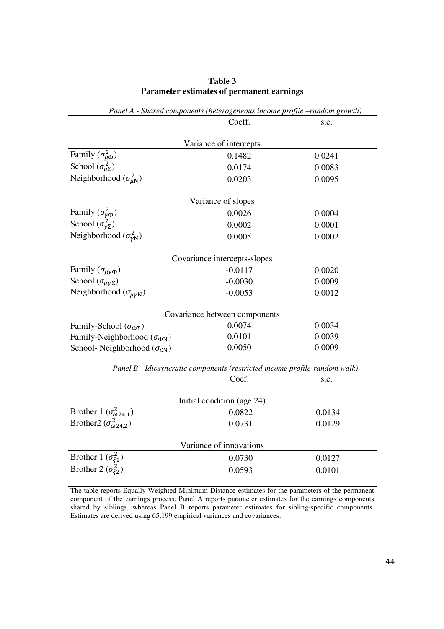| Table 3 |  |                                           |  |  |  |  |  |
|---------|--|-------------------------------------------|--|--|--|--|--|
|         |  | Parameter estimates of permanent earnings |  |  |  |  |  |

| $\mu$ and $\mu$ - shared components (neterogeneous income projue $\rightarrow$ andom growin) |                               |        |  |  |  |  |
|----------------------------------------------------------------------------------------------|-------------------------------|--------|--|--|--|--|
|                                                                                              | Coeff.                        | s.e.   |  |  |  |  |
|                                                                                              |                               |        |  |  |  |  |
|                                                                                              | Variance of intercepts        |        |  |  |  |  |
| Family $(\sigma_{\mu\Phi}^2)$                                                                | 0.1482                        | 0.0241 |  |  |  |  |
| School $(\sigma_{\mu\Sigma}^2)$                                                              | 0.0174                        | 0.0083 |  |  |  |  |
| Neighborhood $(\sigma_{\mu N}^2)$                                                            | 0.0203                        | 0.0095 |  |  |  |  |
|                                                                                              | Variance of slopes            |        |  |  |  |  |
| Family $(\sigma_{\gamma \Phi}^2)$                                                            | 0.0026                        | 0.0004 |  |  |  |  |
| School $(\sigma_{\gamma\Sigma}^2)$                                                           | 0.0002                        | 0.0001 |  |  |  |  |
| Neighborhood $(\sigma_{\nu N}^2)$                                                            | 0.0005                        | 0.0002 |  |  |  |  |
|                                                                                              | Covariance intercepts-slopes  |        |  |  |  |  |
| Family $(\sigma_{\mu\nu\Phi})$                                                               | $-0.0117$                     | 0.0020 |  |  |  |  |
| School $(\sigma_{\mu\gamma\Sigma})$                                                          | $-0.0030$                     | 0.0009 |  |  |  |  |
| Neighborhood $(\sigma_{\mu\gamma N})$                                                        | $-0.0053$                     | 0.0012 |  |  |  |  |
|                                                                                              | Covariance between components |        |  |  |  |  |
| Family-School ( $\sigma_{\Phi\Sigma}$ )                                                      | 0.0074                        | 0.0034 |  |  |  |  |
| Family-Neighborhood ( $\sigma_{\Phi N}$ )                                                    | 0.0101                        | 0.0039 |  |  |  |  |
| School-Neighborhood ( $\sigma_{\Sigma N}$ )                                                  | 0.0050                        | 0.0009 |  |  |  |  |
|                                                                                              |                               |        |  |  |  |  |
| Panel B - Idiosyncratic components (restricted income profile-random walk)                   |                               |        |  |  |  |  |
|                                                                                              | Coef.                         | s.e.   |  |  |  |  |
| Initial condition (age 24)                                                                   |                               |        |  |  |  |  |
| Brother 1 $(\sigma_{\omega 24,1}^2)$                                                         | 0.0822                        | 0.0134 |  |  |  |  |
| Brother2 ( $\sigma_{\omega 24,2}^2$ )                                                        | 0.0731                        | 0.0129 |  |  |  |  |
| Variance of innovations                                                                      |                               |        |  |  |  |  |
| Brother 1 $(\sigma_{\xi_1}^2)$                                                               | 0.0730                        | 0.0127 |  |  |  |  |
| Brother 2 ( $\sigma_{\xi_2}^2$ )                                                             | 0.0593                        | 0.0101 |  |  |  |  |

*Panel A - Shared components (heterogeneous income profile –random growth)* 

The table reports Equally-Weighted Minimum Distance estimates for the parameters of the permanent component of the earnings process. Panel A reports parameter estimates for the earnings components shared by siblings, whereas Panel B reports parameter estimates for sibling-specific components. Estimates are derived using 65,199 empirical variances and covariances.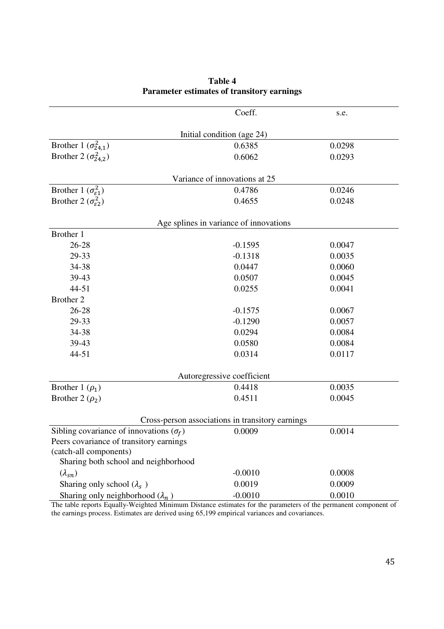|                                                  | Coeff.                                 | s.e.   |  |  |  |  |  |
|--------------------------------------------------|----------------------------------------|--------|--|--|--|--|--|
|                                                  | Initial condition (age 24)             |        |  |  |  |  |  |
| Brother 1 $(\sigma_{24,1}^2)$                    | 0.6385                                 | 0.0298 |  |  |  |  |  |
| Brother 2 ( $\sigma_{24,2}^2$ )                  | 0.6062                                 | 0.0293 |  |  |  |  |  |
|                                                  | Variance of innovations at 25          |        |  |  |  |  |  |
| Brother 1 ( $\sigma_{\epsilon_1}^2$ )            | 0.4786                                 | 0.0246 |  |  |  |  |  |
| Brother 2 ( $\sigma_{\epsilon 2}^2$ )            | 0.4655                                 | 0.0248 |  |  |  |  |  |
|                                                  |                                        |        |  |  |  |  |  |
|                                                  | Age splines in variance of innovations |        |  |  |  |  |  |
| Brother 1                                        |                                        |        |  |  |  |  |  |
| $26 - 28$                                        | $-0.1595$                              | 0.0047 |  |  |  |  |  |
| 29-33                                            | $-0.1318$                              | 0.0035 |  |  |  |  |  |
| 34-38                                            | 0.0447                                 | 0.0060 |  |  |  |  |  |
| 39-43                                            | 0.0507                                 | 0.0045 |  |  |  |  |  |
| $44 - 51$                                        | 0.0255                                 | 0.0041 |  |  |  |  |  |
| Brother 2                                        |                                        |        |  |  |  |  |  |
| 26-28                                            | $-0.1575$                              | 0.0067 |  |  |  |  |  |
| 29-33                                            | $-0.1290$                              | 0.0057 |  |  |  |  |  |
| 34-38                                            | 0.0294                                 | 0.0084 |  |  |  |  |  |
| 39-43                                            | 0.0580                                 | 0.0084 |  |  |  |  |  |
| 44-51                                            | 0.0314                                 | 0.0117 |  |  |  |  |  |
|                                                  | Autoregressive coefficient             |        |  |  |  |  |  |
| Brother 1 $(\rho_1)$                             | 0.4418                                 | 0.0035 |  |  |  |  |  |
| Brother 2 $(\rho_2)$                             | 0.4511                                 | 0.0045 |  |  |  |  |  |
| Cross-person associations in transitory earnings |                                        |        |  |  |  |  |  |
| Sibling covariance of innovations $(\sigma_f)$   | 0.0009                                 | 0.0014 |  |  |  |  |  |
| Peers covariance of transitory earnings          |                                        |        |  |  |  |  |  |
| (catch-all components)                           |                                        |        |  |  |  |  |  |
| Sharing both school and neighborhood             |                                        |        |  |  |  |  |  |
| $(\lambda_{sn})$                                 | $-0.0010$                              | 0.0008 |  |  |  |  |  |
| Sharing only school $(\lambda_s)$                | 0.0019                                 | 0.0009 |  |  |  |  |  |
| Sharing only neighborhood $(\lambda_n)$          | $-0.0010$                              | 0.0010 |  |  |  |  |  |

### **Table 4 Parameter estimates of transitory earnings**

The table reports Equally-Weighted Minimum Distance estimates for the parameters of the permanent component of the earnings process. Estimates are derived using 65,199 empirical variances and covariances.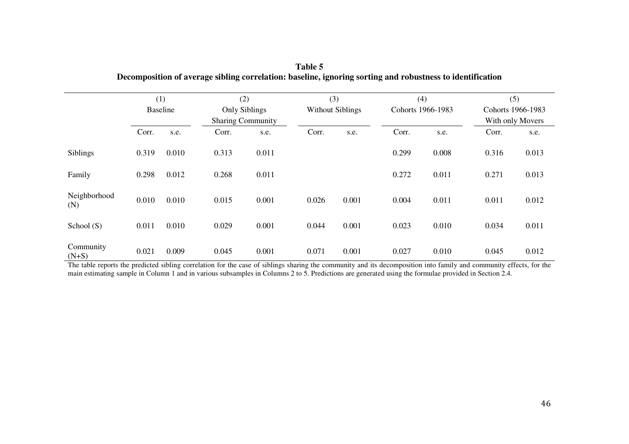|                      | (1)<br><b>Baseline</b> |       | (2)<br><b>Only Siblings</b><br><b>Sharing Community</b> |       | (3)<br><b>Without Siblings</b> |       | (4)<br>Cohorts 1966-1983 |       | (5)<br>Cohorts 1966-1983<br>With only Movers |       |
|----------------------|------------------------|-------|---------------------------------------------------------|-------|--------------------------------|-------|--------------------------|-------|----------------------------------------------|-------|
|                      | Corr.                  | s.e.  | Corr.                                                   | s.e.  | Corr.                          | s.e.  | Corr.                    | s.e.  | Corr.                                        | s.e.  |
| Siblings             | 0.319                  | 0.010 | 0.313                                                   | 0.011 |                                |       | 0.299                    | 0.008 | 0.316                                        | 0.013 |
| Family               | 0.298                  | 0.012 | 0.268                                                   | 0.011 |                                |       | 0.272                    | 0.011 | 0.271                                        | 0.013 |
| Neighborhood<br>(N)  | 0.010                  | 0.010 | 0.015                                                   | 0.001 | 0.026                          | 0.001 | 0.004                    | 0.011 | 0.011                                        | 0.012 |
| School (S)           | 0.011                  | 0.010 | 0.029                                                   | 0.001 | 0.044                          | 0.001 | 0.023                    | 0.010 | 0.034                                        | 0.011 |
| Community<br>$(N+S)$ | 0.021                  | 0.009 | 0.045                                                   | 0.001 | 0.071                          | 0.001 | 0.027                    | 0.010 | 0.045                                        | 0.012 |

| Table 5                                                                                                   |
|-----------------------------------------------------------------------------------------------------------|
| Decomposition of average sibling correlation: baseline, ignoring sorting and robustness to identification |

The table reports the predicted sibling correlation for the case of siblings sharing the community and its decomposition into family and community effects, for the main estimating sample in Column 1 and in various subsampl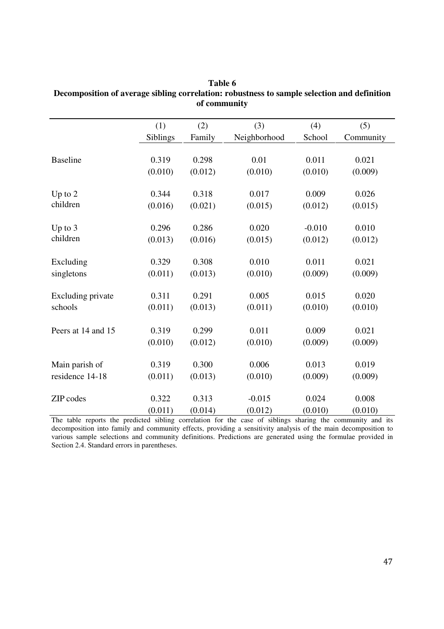|                          | (1)      | (2)     | (3)          | (4)      | (5)       |
|--------------------------|----------|---------|--------------|----------|-----------|
|                          | Siblings | Family  | Neighborhood | School   | Community |
|                          |          |         |              |          |           |
| <b>Baseline</b>          | 0.319    | 0.298   | 0.01         | 0.011    | 0.021     |
|                          | (0.010)  | (0.012) | (0.010)      | (0.010)  | (0.009)   |
| Up to $2$                | 0.344    | 0.318   | 0.017        | 0.009    | 0.026     |
| children                 | (0.016)  | (0.021) | (0.015)      | (0.012)  | (0.015)   |
|                          |          |         |              |          |           |
| Up to $3$                | 0.296    | 0.286   | 0.020        | $-0.010$ | 0.010     |
| children                 | (0.013)  | (0.016) | (0.015)      | (0.012)  | (0.012)   |
|                          |          |         |              |          |           |
| Excluding                | 0.329    | 0.308   | 0.010        | 0.011    | 0.021     |
| singletons               | (0.011)  | (0.013) | (0.010)      | (0.009)  | (0.009)   |
| <b>Excluding private</b> | 0.311    | 0.291   | 0.005        | 0.015    | 0.020     |
| schools                  | (0.011)  | (0.013) | (0.011)      | (0.010)  | (0.010)   |
|                          |          |         |              |          |           |
| Peers at 14 and 15       | 0.319    | 0.299   | 0.011        | 0.009    | 0.021     |
|                          | (0.010)  | (0.012) | (0.010)      | (0.009)  | (0.009)   |
|                          | 0.319    | 0.300   | 0.006        | 0.013    | 0.019     |
| Main parish of           |          |         |              |          |           |
| residence 14-18          | (0.011)  | (0.013) | (0.010)      | (0.009)  | (0.009)   |
| ZIP codes                | 0.322    | 0.313   | $-0.015$     | 0.024    | 0.008     |
|                          | (0.011)  | (0.014) | (0.012)      | (0.010)  | (0.010)   |

| Table 6                                                                                     |
|---------------------------------------------------------------------------------------------|
| Decomposition of average sibling correlation: robustness to sample selection and definition |
| of community                                                                                |

The table reports the predicted sibling correlation for the case of siblings sharing the community and its decomposition into family and community effects, providing a sensitivity analysis of the main decomposition to various sample selections and community definitions. Predictions are generated using the formulae provided in Section 2.4. Standard errors in parentheses.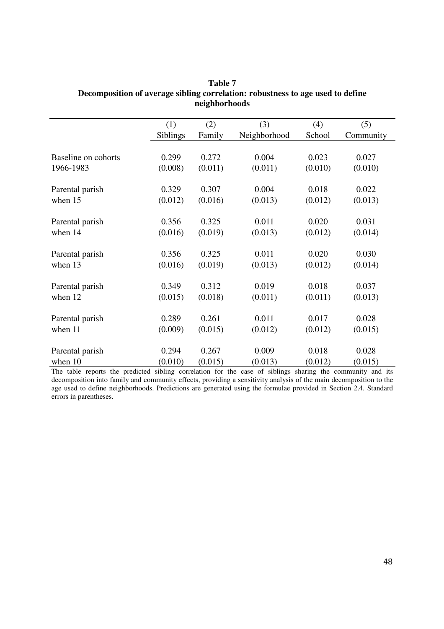| Community                                                               |
|-------------------------------------------------------------------------|
|                                                                         |
|                                                                         |
| (0.010)                                                                 |
|                                                                         |
| 0.022                                                                   |
|                                                                         |
|                                                                         |
|                                                                         |
|                                                                         |
|                                                                         |
|                                                                         |
|                                                                         |
|                                                                         |
|                                                                         |
|                                                                         |
|                                                                         |
|                                                                         |
|                                                                         |
|                                                                         |
|                                                                         |
|                                                                         |
| (0.013)<br>(0.014)<br>0.030<br>(0.014)<br>(0.013)<br>(0.015)<br>(0.015) |

#### **Table 7 Decomposition of average sibling correlation: robustness to age used to define neighborhoods**

The table reports the predicted sibling correlation for the case of siblings sharing the community and its decomposition into family and community effects, providing a sensitivity analysis of the main decomposition to the age used to define neighborhoods. Predictions are generated using the formulae provided in Section 2.4. Standard errors in parentheses.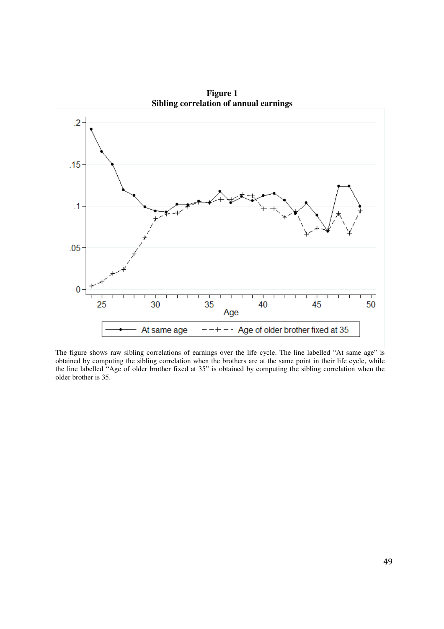

**Figure 1 Sibling correlation of annual earnings** 

The figure shows raw sibling correlations of earnings over the life cycle. The line labelled "At same age" is obtained by computing the sibling correlation when the brothers are at the same point in their life cycle, while the line labelled "Age of older brother fixed at 35" is obtained by computing the sibling correlation when the older brother is 35.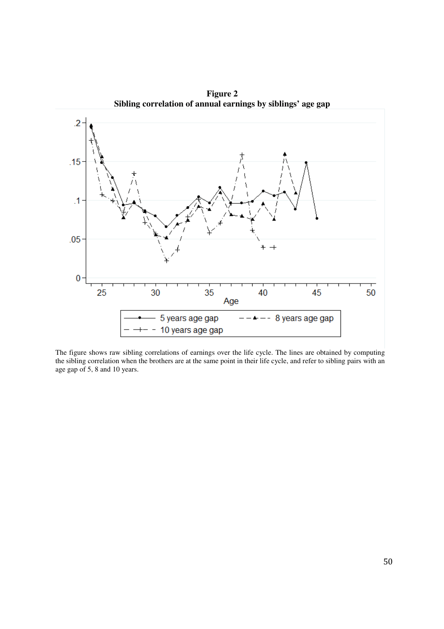

**Figure 2 Sibling correlation of annual earnings by siblings' age gap**

The figure shows raw sibling correlations of earnings over the life cycle. The lines are obtained by computing the sibling correlation when the brothers are at the same point in their life cycle, and refer to sibling pairs with an age gap of 5, 8 and 10 years.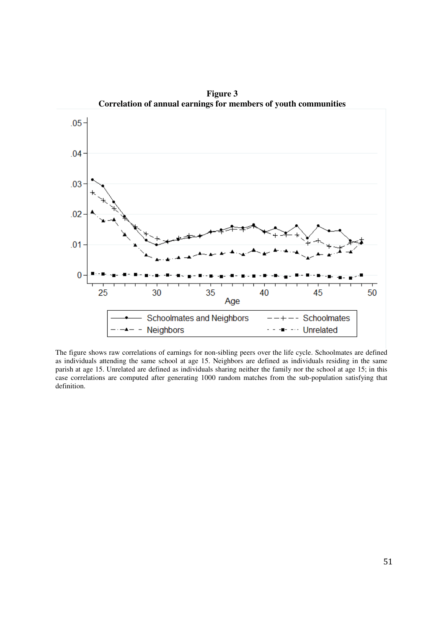

**Figure 3 Correlation of annual earnings for members of youth communities** 

The figure shows raw correlations of earnings for non-sibling peers over the life cycle. Schoolmates are defined as individuals attending the same school at age 15. Neighbors are defined as individuals residing in the same parish at age 15. Unrelated are defined as individuals sharing neither the family nor the school at age 15; in this case correlations are computed after generating 1000 random matches from the sub-population satisfying that definition.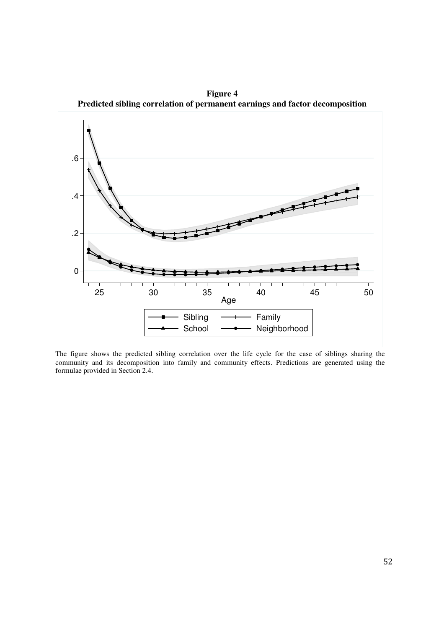**Figure 4 Predicted sibling correlation of permanent earnings and factor decomposition** 



The figure shows the predicted sibling correlation over the life cycle for the case of siblings sharing the community and its decomposition into family and community effects. Predictions are generated using the formulae provided in Section 2.4.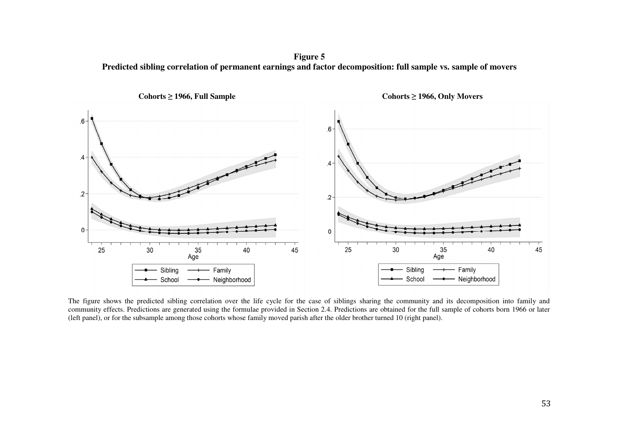**Figure 5 Predicted sibling correlation of permanent earnings and factor decomposition: full sample vs. sample of movers** 



The figure shows the predicted sibling correlation over the life cycle for the case of siblings sharing the community and its decomposition into family and community effects. Predictions are generated using the formulae provided in Section 2.4. Predictions are obtained for the full sample of cohorts born 1966 or later (left panel), or for the subsample among those cohorts whose family moved parish after the older brother turned 10 (right panel).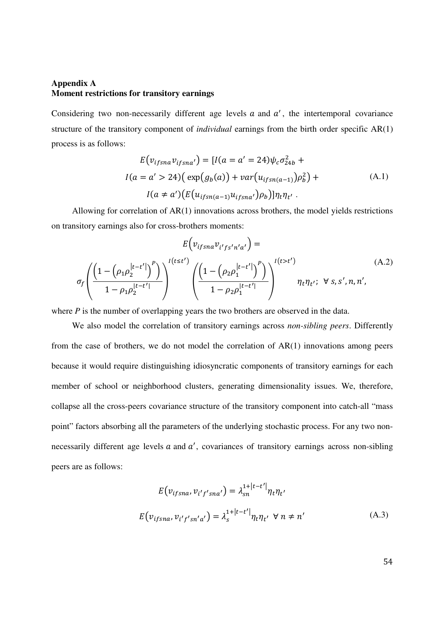#### **Appendix A Moment restrictions for transitory earnings**

Considering two non-necessarily different age levels  $a$  and  $a'$ , the intertemporal covariance structure of the transitory component of *individual* earnings from the birth order specific AR(1) process is as follows:

$$
E(v_{ifsna}v_{ifsna'}) = [I(a = a' = 24)\psi_c \sigma_{24b}^2 +
$$
  
\n
$$
I(a = a' > 24) \Big( \exp(g_b(a)) + \text{var}(u_{ifs n(a-1)})\rho_b^2 \Big) +
$$
  
\n
$$
I(a \neq a') \Big( E(u_{ifs n(a-1)}u_{ifs na'})\rho_b \Big) ] \eta_t \eta_{t'}.
$$
\n(A.1)

Allowing for correlation of AR(1) innovations across brothers, the model yields restrictions on transitory earnings also for cross-brothers moments:

$$
E\left(v_{ifsna}v_{i'fs'n'a'}\right) =
$$
\n
$$
\sigma_f \left(\frac{\left(1-\left(\rho_1 \rho_2^{|t-t'|}\right)^p\right)}{1-\rho_1 \rho_2^{|t-t'|}}\right)^{I(t \le t')} \left(\frac{\left(1-\left(\rho_2 \rho_1^{|t-t'|}\right)^p\right)}{1-\rho_2 \rho_1^{|t-t'|}}\right)^{I(t > t')} \eta_t \eta_{t'}; \ \forall s, s', n, n',
$$
\n(A.2)

where *P* is the number of overlapping years the two brothers are observed in the data.

We also model the correlation of transitory earnings across *non-sibling peers*. Differently from the case of brothers, we do not model the correlation of AR(1) innovations among peers because it would require distinguishing idiosyncratic components of transitory earnings for each member of school or neighborhood clusters, generating dimensionality issues. We, therefore, collapse all the cross-peers covariance structure of the transitory component into catch-all "mass point" factors absorbing all the parameters of the underlying stochastic process. For any two nonnecessarily different age levels  $a$  and  $a'$ , covariances of transitory earnings across non-sibling peers are as follows:

$$
E(v_{ifsna}, v_{i'f'sna'}) = \lambda_{sn}^{1+|t-t'|} \eta_t \eta_{t'}
$$
  

$$
E(v_{ifsna}, v_{i'f'sn'a'}) = \lambda_s^{1+|t-t'|} \eta_t \eta_{t'} \quad \forall \ n \neq n'
$$
 (A.3)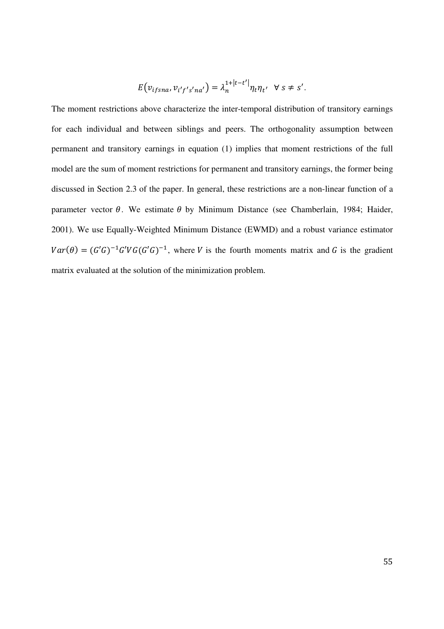$$
E(v_{ifsna}, v_{i'f's'na'}) = \lambda_n^{1+|t-t'|} \eta_t \eta_{t'} \quad \forall \ s \neq s'.
$$

The moment restrictions above characterize the inter-temporal distribution of transitory earnings for each individual and between siblings and peers. The orthogonality assumption between permanent and transitory earnings in equation (1) implies that moment restrictions of the full model are the sum of moment restrictions for permanent and transitory earnings, the former being discussed in Section 2.3 of the paper. In general, these restrictions are a non-linear function of a parameter vector  $\theta$ . We estimate  $\theta$  by Minimum Distance (see Chamberlain, 1984; Haider, 2001). We use Equally-Weighted Minimum Distance (EWMD) and a robust variance estimator  $Var(\theta) = (G'G)^{-1}G'VG(G'G)^{-1}$ , where V is the fourth moments matrix and G is the gradient matrix evaluated at the solution of the minimization problem.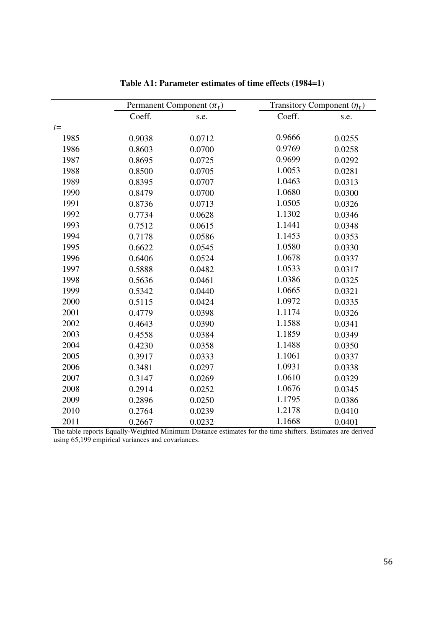|       | Permanent Component $(\pi_t)$ |        | Transitory Component $(\eta_t)$ |        |
|-------|-------------------------------|--------|---------------------------------|--------|
|       | Coeff.                        | s.e.   | Coeff.                          | s.e.   |
| $t =$ |                               |        |                                 |        |
| 1985  | 0.9038                        | 0.0712 | 0.9666                          | 0.0255 |
| 1986  | 0.8603                        | 0.0700 | 0.9769                          | 0.0258 |
| 1987  | 0.8695                        | 0.0725 | 0.9699                          | 0.0292 |
| 1988  | 0.8500                        | 0.0705 | 1.0053                          | 0.0281 |
| 1989  | 0.8395                        | 0.0707 | 1.0463                          | 0.0313 |
| 1990  | 0.8479                        | 0.0700 | 1.0680                          | 0.0300 |
| 1991  | 0.8736                        | 0.0713 | 1.0505                          | 0.0326 |
| 1992  | 0.7734                        | 0.0628 | 1.1302                          | 0.0346 |
| 1993  | 0.7512                        | 0.0615 | 1.1441                          | 0.0348 |
| 1994  | 0.7178                        | 0.0586 | 1.1453                          | 0.0353 |
| 1995  | 0.6622                        | 0.0545 | 1.0580                          | 0.0330 |
| 1996  | 0.6406                        | 0.0524 | 1.0678                          | 0.0337 |
| 1997  | 0.5888                        | 0.0482 | 1.0533                          | 0.0317 |
| 1998  | 0.5636                        | 0.0461 | 1.0386                          | 0.0325 |
| 1999  | 0.5342                        | 0.0440 | 1.0665                          | 0.0321 |
| 2000  | 0.5115                        | 0.0424 | 1.0972                          | 0.0335 |
| 2001  | 0.4779                        | 0.0398 | 1.1174                          | 0.0326 |
| 2002  | 0.4643                        | 0.0390 | 1.1588                          | 0.0341 |
| 2003  | 0.4558                        | 0.0384 | 1.1859                          | 0.0349 |
| 2004  | 0.4230                        | 0.0358 | 1.1488                          | 0.0350 |
| 2005  | 0.3917                        | 0.0333 | 1.1061                          | 0.0337 |
| 2006  | 0.3481                        | 0.0297 | 1.0931                          | 0.0338 |
| 2007  | 0.3147                        | 0.0269 | 1.0610                          | 0.0329 |
| 2008  | 0.2914                        | 0.0252 | 1.0676                          | 0.0345 |
| 2009  | 0.2896                        | 0.0250 | 1.1795                          | 0.0386 |
| 2010  | 0.2764                        | 0.0239 | 1.2178                          | 0.0410 |
| 2011  | 0.2667                        | 0.0232 | 1.1668                          | 0.0401 |

**Table A1: Parameter estimates of time effects (1984=1**)

The table reports Equally-Weighted Minimum Distance estimates for the time shifters. Estimates are derived using 65,199 empirical variances and covariances.